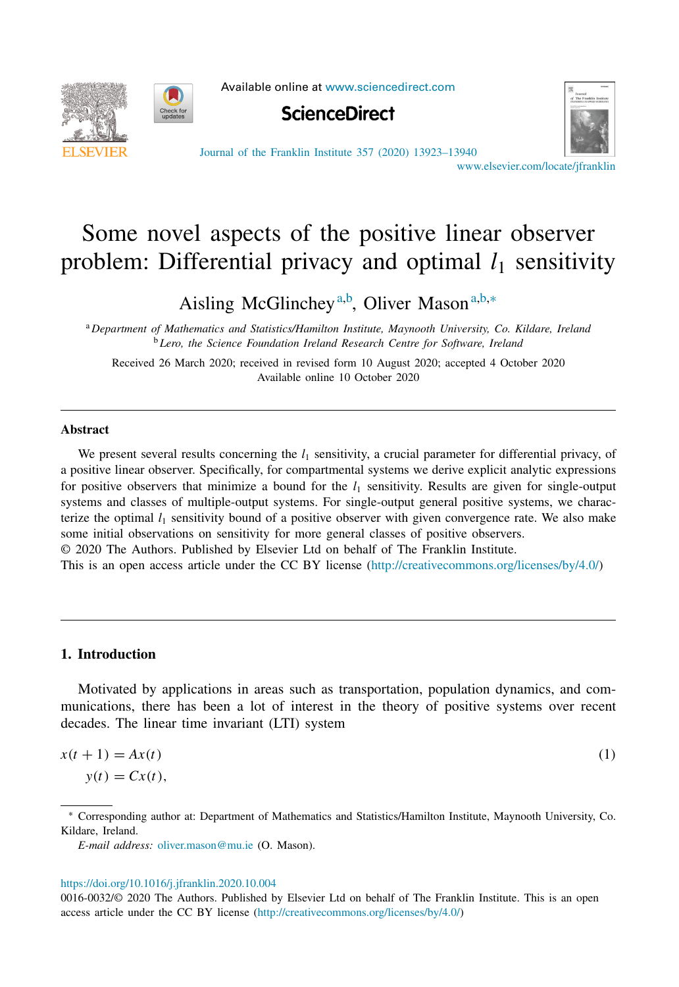Available online at [www.sciencedirect.com](http://www.sciencedirect.com)

<span id="page-0-0"></span>



**ScienceDirect** 



Journal of the Franklin Institute 357 (2020) [13923–13940](https://doi.org/10.1016/j.jfranklin.2020.10.004)

[www.elsevier.com/locate/jfranklin](http://www.elsevier.com/locate/jfranklin)

# Some novel aspects of the positive linear observer problem: Differential privacy and optimal  $l_1$  sensitivity

Aisling McGlinchey<sup>a,b</sup>, Oliver Mason<sup>a,b,∗</sup>

<sup>a</sup> *Department of Mathematics and Statistics/Hamilton Institute, Maynooth University, Co. Kildare, Ireland* <sup>b</sup> *Lero, the Science Foundation Ireland Research Centre for Software, Ireland*

Received 26 March 2020; received in revised form 10 August 2020; accepted 4 October 2020 Available online 10 October 2020

### **Abstract**

We present several results concerning the  $l_1$  sensitivity, a crucial parameter for differential privacy, of a positive linear observer. Specifically, for compartmental systems we derive explicit analytic expressions for positive observers that minimize a bound for the  $l_1$  sensitivity. Results are given for single-output systems and classes of multiple-output systems. For single-output general positive systems, we characterize the optimal  $l_1$  sensitivity bound of a positive observer with given convergence rate. We also make some initial observations on sensitivity for more general classes of positive observers. © 2020 The Authors. Published by Elsevier Ltd on behalf of The Franklin Institute.

This is an open access article under the CC BY license [\(http://creativecommons.org/licenses/by/4.0/\)](http://creativecommons.org/licenses/by/4.0/)

## **1. Introduction**

Motivated by applications in areas such as transportation, population dynamics, and communications, there has been a lot of interest in the theory of positive systems over recent decades. The linear time invariant (LTI) system

$$
x(t+1) = Ax(t)
$$
  
\n
$$
y(t) = Cx(t),
$$
\n(1)

<sup>∗</sup> Corresponding author at: Department of Mathematics and Statistics/Hamilton Institute, Maynooth University, Co. Kildare, Ireland.

*E-mail address:* [oliver.mason@mu.ie](mailto:oliver.mason@mu.ie) (O. Mason).

### <https://doi.org/10.1016/j.jfranklin.2020.10.004>

0016-0032/© 2020 The Authors. Published by Elsevier Ltd on behalf of The Franklin Institute. This is an open access article under the CC BY license [\(http://creativecommons.org/licenses/by/4.0/\)](http://creativecommons.org/licenses/by/4.0/)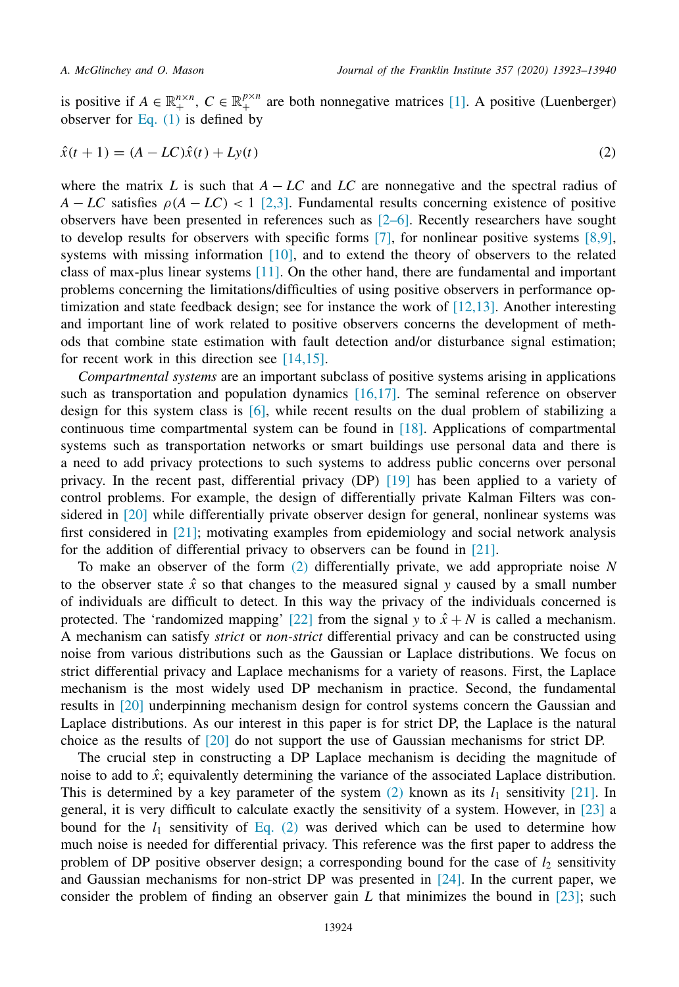<span id="page-1-0"></span>is positive if  $A \in \mathbb{R}_+^{n \times n}$ ,  $C \in \mathbb{R}_+^{p \times n}$  are both nonnegative matrices [\[1\].](#page-16-0) A positive (Luenberger) observer for [Eq.](#page-0-0)  $(1)$  is defined by

$$
\hat{x}(t+1) = (A - LC)\hat{x}(t) + Ly(t)
$$
\n(2)

where the matrix *L* is such that  $A - LC$  and  $LC$  are nonnegative and the spectral radius of  $A - LC$  satisfies  $\rho(A - LC) < 1$  [\[2,3\].](#page-16-0) Fundamental results concerning existence of positive observers have been presented in references such as  $[2-6]$ . Recently researchers have sought to develop results for observers with specific forms [\[7\],](#page-16-0) for nonlinear positive systems [\[8,9\],](#page-16-0) systems with missing information [\[10\],](#page-16-0) and to extend the theory of observers to the related class of max-plus linear systems [\[11\].](#page-16-0) On the other hand, there are fundamental and important problems concerning the limitations/difficulties of using positive observers in performance optimization and state feedback design; see for instance the work of [\[12,13\].](#page-16-0) Another interesting and important line of work related to positive observers concerns the development of methods that combine state estimation with fault detection and/or disturbance signal estimation; for recent work in this direction see  $[14,15]$ .

*Compartmental systems* are an important subclass of positive systems arising in applications such as transportation and population dynamics [\[16,17\].](#page-16-0) The seminal reference on observer design for this system class is [\[6\],](#page-16-0) while recent results on the dual problem of stabilizing a continuous time compartmental system can be found in  $[18]$ . Applications of compartmental systems such as transportation networks or smart buildings use personal data and there is a need to add privacy protections to such systems to address public concerns over personal privacy. In the recent past, differential privacy (DP) [\[19\]](#page-16-0) has been applied to a variety of control problems. For example, the design of differentially private Kalman Filters was considered in [\[20\]](#page-16-0) while differentially private observer design for general, nonlinear systems was first considered in  $[21]$ ; motivating examples from epidemiology and social network analysis for the addition of differential privacy to observers can be found in [\[21\].](#page-16-0)

To make an observer of the form (2) differentially private, we add appropriate noise *N* to the observer state  $\hat{x}$  so that changes to the measured signal *y* caused by a small number of individuals are difficult to detect. In this way the privacy of the individuals concerned is protected. The 'randomized mapping' [\[22\]](#page-16-0) from the signal *y* to  $\hat{x} + N$  is called a mechanism. A mechanism can satisfy *strict* or *non-strict* differential privacy and can be constructed using noise from various distributions such as the Gaussian or Laplace distributions. We focus on strict differential privacy and Laplace mechanisms for a variety of reasons. First, the Laplace mechanism is the most widely used DP mechanism in practice. Second, the fundamental results in [\[20\]](#page-16-0) underpinning mechanism design for control systems concern the Gaussian and Laplace distributions. As our interest in this paper is for strict DP, the Laplace is the natural choice as the results of [\[20\]](#page-16-0) do not support the use of Gaussian mechanisms for strict DP.

The crucial step in constructing a DP Laplace mechanism is deciding the magnitude of noise to add to  $\hat{x}$ ; equivalently determining the variance of the associated Laplace distribution. This is determined by a key parameter of the system  $(2)$  known as its  $l_1$  sensitivity [\[21\].](#page-16-0) In general, it is very difficult to calculate exactly the sensitivity of a system. However, in [\[23\]](#page-17-0) a bound for the  $l_1$  sensitivity of Eq. (2) was derived which can be used to determine how much noise is needed for differential privacy. This reference was the first paper to address the problem of DP positive observer design; a corresponding bound for the case of  $l_2$  sensitivity and Gaussian mechanisms for non-strict DP was presented in  $[24]$ . In the current paper, we consider the problem of finding an observer gain *L* that minimizes the bound in [\[23\];](#page-17-0) such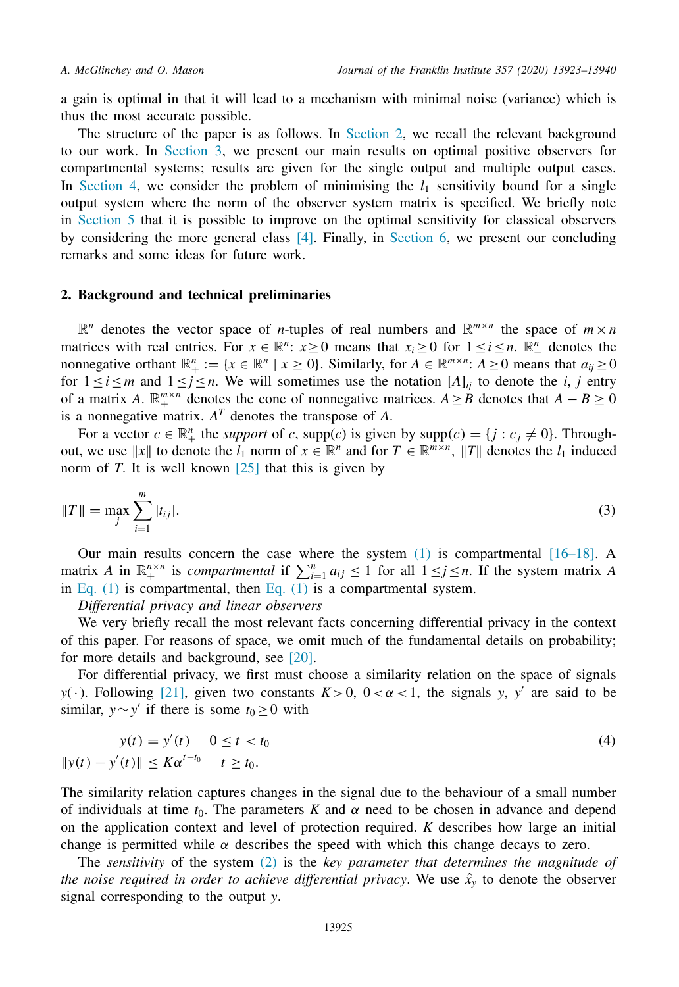<span id="page-2-0"></span>a gain is optimal in that it will lead to a mechanism with minimal noise (variance) which is thus the most accurate possible.

The structure of the paper is as follows. In Section 2, we recall the relevant background to our work. In [Section](#page-4-0) 3, we present our main results on optimal positive observers for compartmental systems; results are given for the single output and multiple output cases. In [Section](#page-10-0) 4, we consider the problem of minimising the  $l_1$  sensitivity bound for a single output system where the norm of the observer system matrix is specified. We briefly note in [Section](#page-14-0) 5 that it is possible to improve on the optimal sensitivity for classical observers by considering the more general class [\[4\].](#page-16-0) Finally, in [Section](#page-15-0) 6, we present our concluding remarks and some ideas for future work.

### **2. Background and technical preliminaries**

 $\mathbb{R}^n$  denotes the vector space of *n*-tuples of real numbers and  $\mathbb{R}^{m \times n}$  the space of  $m \times n$ matrices with real entries. For  $x \in \mathbb{R}^n$ :  $x \ge 0$  means that  $x_i \ge 0$  for  $1 \le i \le n$ .  $\mathbb{R}^n_+$  denotes the nonnegative orthant  $\mathbb{R}^n_+ := \{x \in \mathbb{R}^n \mid x \ge 0\}$ . Similarly, for  $A \in \mathbb{R}^{m \times n}$ :  $A \ge 0$  means that  $a_{ij} \ge 0$ for  $1 \le i \le m$  and  $1 \le j \le n$ . We will sometimes use the notation [*A*]<sub>*ij*</sub> to denote the *i*, *j* entry of a matrix *A*.  $\mathbb{R}^{m \times n}_+$  denotes the cone of nonnegative matrices. *A* ≥ *B* denotes that *A* − *B* ≥ 0 is a nonnegative matrix.  $A<sup>T</sup>$  denotes the transpose of  $A$ .

For a vector  $c \in \mathbb{R}_+^n$  the *support* of *c*, supp(*c*) is given by supp(*c*) = { $j : c_j \neq 0$ }. Throughout, we use  $||x||$  to denote the  $l_1$  norm of  $x \in \mathbb{R}^n$  and for  $T \in \mathbb{R}^{m \times n}$ ,  $||T||$  denotes the  $l_1$  induced norm of *T*. It is well known  $\lceil 25 \rceil$  that this is given by

$$
||T|| = \max_{j} \sum_{i=1}^{m} |t_{ij}|.
$$
 (3)

Our main results concern the case where the system  $(1)$  is compartmental  $[16–18]$ . A matrix *A* in  $\mathbb{R}^{n \times n}$  is *compartmental* if  $\sum_{i=1}^{n} a_{ij} \le 1$  for all  $1 \le j \le n$ . If the system matrix *A* in [Eq.](#page-0-0)  $(1)$  is compartmental, then Eq.  $(1)$  is a compartmental system.

*Differential privacy and linear observers*

We very briefly recall the most relevant facts concerning differential privacy in the context of this paper. For reasons of space, we omit much of the fundamental details on probability; for more details and background, see [\[20\].](#page-16-0)

For differential privacy, we first must choose a similarity relation on the space of signals *y*(·). Following [\[21\],](#page-16-0) given two constants  $K>0$ ,  $0<\alpha<1$ , the signals *y*, *y'* are said to be similar, *y*∼*y'* if there is some  $t_0 \ge 0$  with

$$
y(t) = y'(t) \quad 0 \le t < t_0
$$
\n
$$
||y(t) - y'(t)|| \le K\alpha^{t-t_0} \quad t \ge t_0.
$$
\n
$$
(4)
$$

The similarity relation captures changes in the signal due to the behaviour of a small number of individuals at time  $t_0$ . The parameters *K* and  $\alpha$  need to be chosen in advance and depend on the application context and level of protection required. *K* describes how large an initial change is permitted while  $\alpha$  describes the speed with which this change decays to zero.

The *sensitivity* of the system [\(2\)](#page-1-0) is the *key parameter that determines the magnitude of the noise required in order to achieve differential privacy. We use*  $\hat{x}_y$  *to denote the observer* signal corresponding to the output *y*.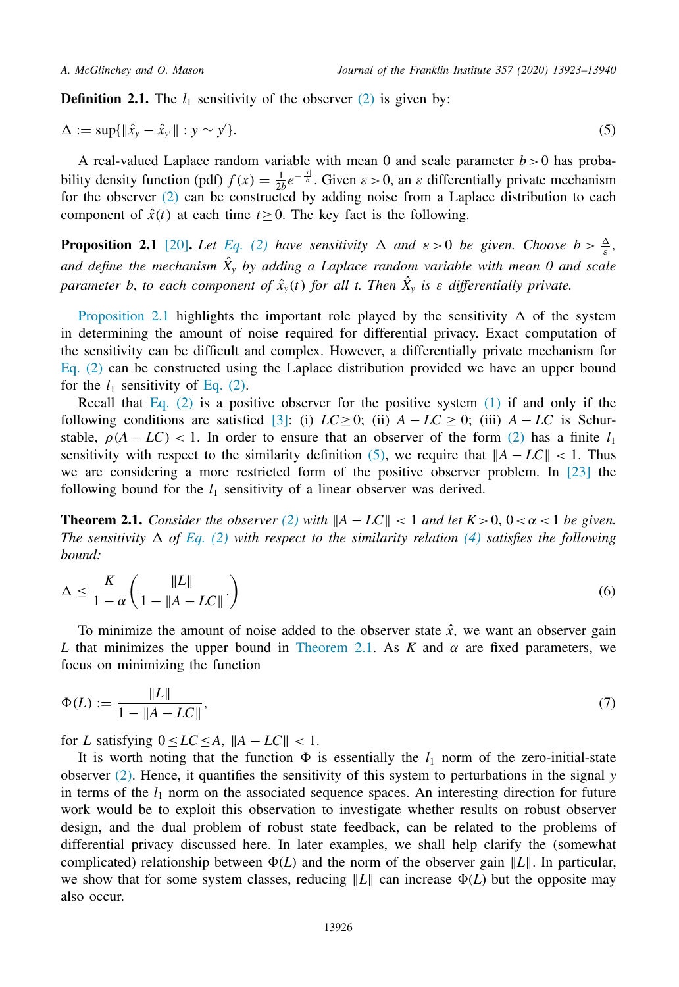<span id="page-3-0"></span>**Definition 2.1.** The  $l_1$  sensitivity of the observer  $(2)$  is given by:

$$
\Delta := \sup \{ ||\hat{x}_y - \hat{x}_{y'}|| : y \sim y' \}. \tag{5}
$$

A real-valued Laplace random variable with mean 0 and scale parameter  $b > 0$  has probability density function (pdf)  $f(x) = \frac{1}{2b}e^{-\frac{|x|}{b}}$ . Given  $\varepsilon > 0$ , an  $\varepsilon$  differentially private mechanism for the observer  $(2)$  can be constructed by adding noise from a Laplace distribution to each component of  $\hat{x}(t)$  at each time  $t \geq 0$ . The key fact is the following.

**Proposition 2.1** [\[20\]](#page-16-0). *Let [Eq.](#page-1-0)* (2) *have sensitivity*  $\Delta$  *and*  $\varepsilon > 0$  *be given. Choose*  $b > \frac{\Delta}{\varepsilon}$ , *and define the mechanism X*ˆ *<sup>y</sup> by adding a Laplace random variable with mean 0 and scale parameter b*, *to each component of*  $\hat{x}_y(t)$  *for all t. Then*  $\hat{X}_y$  *is*  $\varepsilon$  *differentially private.* 

Proposition 2.1 highlights the important role played by the sensitivity  $\Delta$  of the system in determining the amount of noise required for differential privacy. Exact computation of the sensitivity can be difficult and complex. However, a differentially private mechanism for [Eq.](#page-1-0)  $(2)$  can be constructed using the Laplace distribution provided we have an upper bound for the  $l_1$  sensitivity of [Eq.](#page-1-0) (2).

Recall that [Eq.](#page-1-0)  $(2)$  is a positive observer for the positive system  $(1)$  if and only if the following conditions are satisfied [\[3\]:](#page-16-0) (i)  $LC \ge 0$ ; (ii)  $A - LC \ge 0$ ; (iii)  $A - LC$  is Schurstable,  $\rho(A - LC)$  < 1. In order to ensure that an observer of the form [\(2\)](#page-1-0) has a finite  $l_1$ sensitivity with respect to the similarity definition (5), we require that  $||A - LC|| < 1$ . Thus we are considering a more restricted form of the positive observer problem. In [\[23\]](#page-17-0) the following bound for the  $l_1$  sensitivity of a linear observer was derived.

**Theorem 2.1.** *Consider the observer* [\(2\)](#page-1-0) *with*  $||A - LC|| < 1$  *and let*  $K > 0$ ,  $0 < \alpha < 1$  *be given. The sensitivity*  $\Delta$  *of [Eq.](#page-1-0)* (2) *with respect to the similarity relation* [\(4\)](#page-2-0) *satisfies the following bound:*

$$
\Delta \le \frac{K}{1-\alpha} \left( \frac{\|L\|}{1 - \|A - LC\|} \right) \tag{6}
$$

To minimize the amount of noise added to the observer state  $\hat{x}$ , we want an observer gain *L* that minimizes the upper bound in Theorem 2.1. As *K* and  $\alpha$  are fixed parameters, we focus on minimizing the function

$$
\Phi(L) := \frac{\|L\|}{1 - \|A - LC\|},\tag{7}
$$

for *L* satisfying  $0 \le LC \le A$ ,  $||A - LC|| < 1$ .

It is worth noting that the function  $\Phi$  is essentially the  $l_1$  norm of the zero-initial-state observer [\(2\).](#page-1-0) Hence, it quantifies the sensitivity of this system to perturbations in the signal *y* in terms of the  $l_1$  norm on the associated sequence spaces. An interesting direction for future work would be to exploit this observation to investigate whether results on robust observer design, and the dual problem of robust state feedback, can be related to the problems of differential privacy discussed here. In later examples, we shall help clarify the (somewhat complicated) relationship between  $\Phi(L)$  and the norm of the observer gain  $||L||$ . In particular, we show that for some system classes, reducing  $\|L\|$  can increase  $\Phi(L)$  but the opposite may also occur.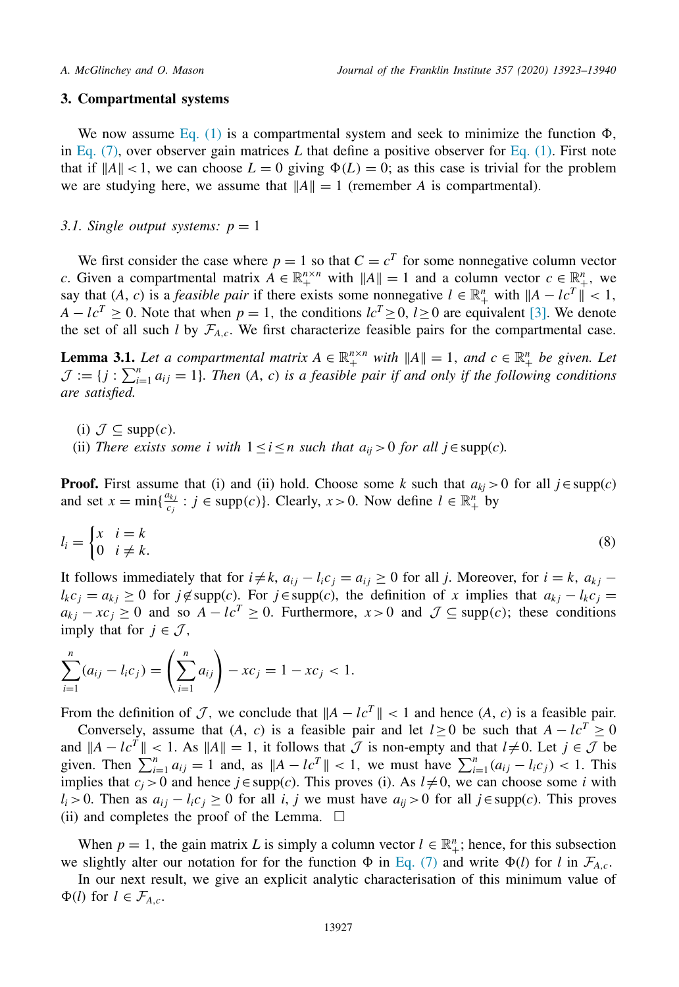### <span id="page-4-0"></span>**3. Compartmental systems**

We now assume [Eq.](#page-0-0) (1) is a compartmental system and seek to minimize the function  $\Phi$ , in [Eq.](#page-0-0)  $(7)$ , over observer gain matrices L that define a positive observer for Eq.  $(1)$ . First note that if  $||A|| < 1$ , we can choose  $L = 0$  giving  $\Phi(L) = 0$ ; as this case is trivial for the problem we are studying here, we assume that  $||A|| = 1$  (remember *A* is compartmental).

### *3.1. Single output systems:*  $p = 1$

We first consider the case where  $p = 1$  so that  $C = c<sup>T</sup>$  for some nonnegative column vector *c*. Given a compartmental matrix  $A \in \mathbb{R}^{n \times n}_+$  with  $||A|| = 1$  and a column vector  $c \in \mathbb{R}^n_+$ , we say that  $(A, c)$  is a *feasible pair* if there exists some nonnegative  $l \in \mathbb{R}^n_+$  with  $||A - lc^T|| < 1$ ,  $A - lc^T \geq 0$ . Note that when  $p = 1$ , the conditions  $lc^T \geq 0$ ,  $l \geq 0$  are equivalent [\[3\].](#page-16-0) We denote the set of all such *l* by  $\mathcal{F}_{A,c}$ . We first characterize feasible pairs for the compartmental case.

**Lemma 3.1.** *Let a compartmental matrix*  $A \in \mathbb{R}_+^{n \times n}$  *with*  $||A|| = 1$ *, and*  $c \in \mathbb{R}_+^n$  *be given. Let*  $\mathcal{J} := \{j : \sum_{i=1}^{n} a_{ij} = 1\}$ . Then  $(A, c)$  is a feasible pair if and only if the following conditions *are satisfied.*

- (i)  $\mathcal{J} \subseteq \text{supp}(c)$ .
- (ii) *There exists some i with*  $1 \le i \le n$  *such that*  $a_{ii} > 0$  *for all*  $j \in \text{supp}(c)$ *.*

**Proof.** First assume that (i) and (ii) hold. Choose some *k* such that  $a_{ki} > 0$  for all  $j \in \text{supp}(c)$ and set  $x = \min\{\frac{a_{kj}}{c_j} : j \in \text{supp}(c)\}\)$ . Clearly,  $x > 0$ . Now define  $l \in \mathbb{R}^n_+$  by

$$
l_i = \begin{cases} x & i = k \\ 0 & i \neq k. \end{cases} \tag{8}
$$

It follows immediately that for  $i \neq k$ ,  $a_{ij} - l_i c_j = a_{ij} \geq 0$  for all *j*. Moreover, for  $i = k$ ,  $a_{kj}$  $l_k c_j = a_{kj} \geq 0$  for  $j \notin \text{supp}(c)$ . For  $j \in \text{supp}(c)$ , the definition of *x* implies that  $a_{kj} - l_k c_j = 0$ *a<sub>k j</sub>* − *xc<sub>j</sub>* ≥ 0 and so *A* − *lc<sup>T</sup>* ≥ 0. Furthermore, *x* > 0 and  $\mathcal{J} \subseteq \text{supp}(c)$ ; these conditions imply that for  $j \in \mathcal{J}$ ,

$$
\sum_{i=1}^{n} (a_{ij} - l_i c_j) = \left(\sum_{i=1}^{n} a_{ij}\right) - x c_j = 1 - x c_j < 1.
$$

From the definition of J, we conclude that  $||A - lc^T|| < 1$  and hence  $(A, c)$  is a feasible pair.

Conversely, assume that (*A*, *c*) is a feasible pair and let  $l \ge 0$  be such that  $A - lc^T \ge 0$ and  $||A - lc<sup>T</sup>|| < 1$ . As  $||A|| = 1$ , it follows that  $\mathcal J$  is non-empty and that  $l \neq 0$ . Let  $j \in \mathcal J$  be given. Then  $\sum_{i=1}^{n} a_{ij} = 1$  and, as  $||A - lc^{T}|| < 1$ , we must have  $\sum_{i=1}^{n} (a_{ij} - l_i c_j) < 1$ . This implies that  $c_j > 0$  and hence  $j \in \text{supp}(c)$ . This proves (i). As  $l \neq 0$ , we can choose some *i* with *l<sub>i</sub>* > 0. Then as  $a_{ij} - l_i c_j \ge 0$  for all *i*, *j* we must have  $a_{ij} > 0$  for all *j*∈supp(*c*). This proves (ii) and completes the proof of the Lemma.  $\Box$ 

When  $p = 1$ , the gain matrix *L* is simply a column vector  $l \in \mathbb{R}^n_+$ ; hence, for this subsection we slightly alter our notation for for the function  $\Phi$  in [Eq.](#page-3-0) (7) and write  $\Phi$ (*l*) for *l* in  $\mathcal{F}_{A,c}$ .

In our next result, we give an explicit analytic characterisation of this minimum value of  $\Phi(l)$  for  $l \in \mathcal{F}_{A,c}$ .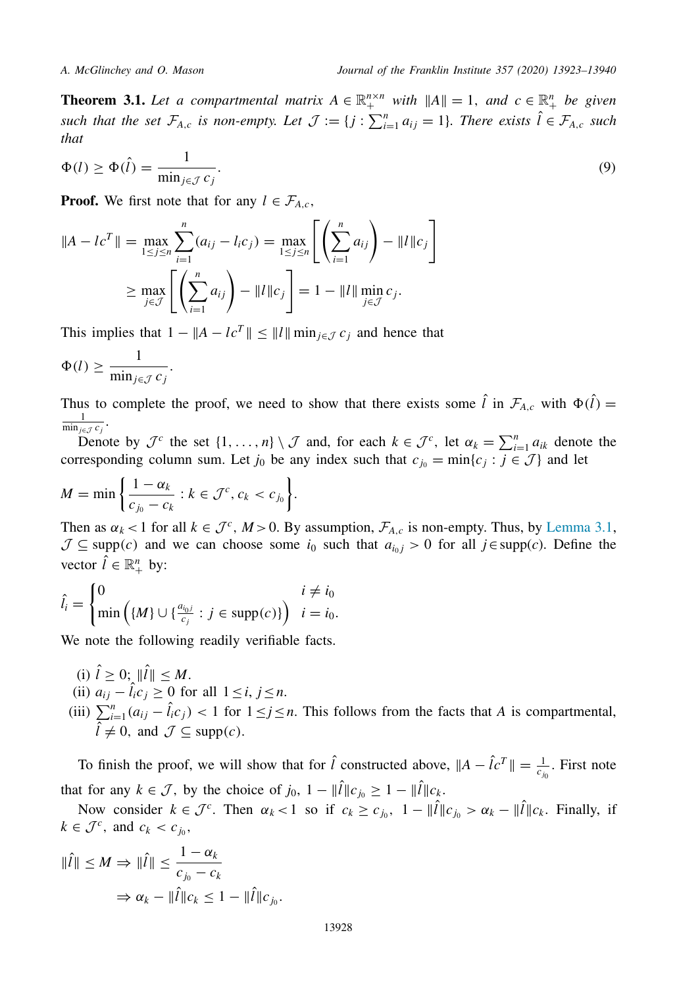<span id="page-5-0"></span>**Theorem 3.1.** *Let a compartmental matrix*  $A \in \mathbb{R}^{n \times n}_+$  *with*  $||A|| = 1$ *, and*  $c \in \mathbb{R}^n_+$  *be given* such that the set  $\mathcal{F}_{A,c}$  is non-empty. Let  $\mathcal{J} := \{j : \sum_{i=1}^n a_{ij} = 1\}$ . There exists  $\hat{l} \in \mathcal{F}_{A,c}$  such *that*

$$
\Phi(l) \ge \Phi(\hat{l}) = \frac{1}{\min_{j \in \mathcal{J}} c_j}.
$$
\n(9)

**Proof.** We first note that for any  $l \in \mathcal{F}_{A,c}$ ,

$$
||A - lc^{T}|| = \max_{1 \leq j \leq n} \sum_{i=1}^{n} (a_{ij} - l_{i}c_{j}) = \max_{1 \leq j \leq n} \left[ \left( \sum_{i=1}^{n} a_{ij} \right) - ||l||c_{j} \right]
$$
  

$$
\geq \max_{j \in \mathcal{J}} \left[ \left( \sum_{i=1}^{n} a_{ij} \right) - ||l||c_{j} \right] = 1 - ||l|| \min_{j \in \mathcal{J}} c_{j}.
$$

This implies that  $1 - ||A - lc^T|| \le ||I|| \min_{i \in J} c_i$  and hence that

$$
\Phi(l) \ge \frac{1}{\min_{j \in \mathcal{J}} c_j}.
$$

Thus to complete the proof, we need to show that there exists some  $\hat{l}$  in  $\mathcal{F}_{A,c}$  with  $\Phi(\hat{l}) =$  $\frac{1}{\min_{j\in\mathcal{J}} c_j}$ .

Denote by  $\mathcal{J}^c$  the set  $\{1, \ldots, n\} \setminus \mathcal{J}$  and, for each  $k \in \mathcal{J}^c$ , let  $\alpha_k = \sum_{i=1}^n a_{ik}$  denote the corresponding column sum. Let  $j_0$  be any index such that  $c_{j_0} = \min\{c_j : j \in \mathcal{J}\}\$ and let

$$
M = \min\bigg\{\frac{1-\alpha_k}{c_{j_0}-c_k}:k\in\mathcal{J}^c,c_k
$$

Then as  $\alpha_k < 1$  for all  $k \in \mathcal{J}^c$ ,  $M > 0$ . By assumption,  $\mathcal{F}_{A,c}$  is non-empty. Thus, by [Lemma](#page-4-0) 3.1,  $\mathcal{J} \subseteq \text{supp}(c)$  and we can choose some  $i_0$  such that  $a_{i_0j} > 0$  for all  $j \in \text{supp}(c)$ . Define the vector  $\hat{l} \in \mathbb{R}_+^n$  by:

$$
\hat{l}_i = \begin{cases} 0 & i \neq i_0 \\ \min\left(\{M\} \cup \{\frac{a_{i_0 j}}{c_j} : j \in \text{supp}(c)\}\right) & i = i_0. \end{cases}
$$

We note the following readily verifiable facts.

- (i)  $\hat{l} \geq 0$ ;  $\|\hat{l}\| \leq M$ .
- (ii)  $a_{ij} \hat{i}_{i}c_{j} \ge 0$  for all  $1 \le i, j \le n$ .
- (iii)  $\sum_{i=1}^{n} (a_{ij} \hat{l}_i c_j) < 1$  for  $1 \leq j \leq n$ . This follows from the facts that *A* is compartmental,  $\hat{l} \neq 0$ , and  $\mathcal{J} \subseteq \text{supp}(c)$ .

To finish the proof, we will show that for  $\hat{l}$  constructed above,  $||A - \hat{l}c^T|| = \frac{1}{c_{j_0}}$ . First note  $\mathbf 0$ that for any  $k \in \mathcal{J}$ , by the choice of  $j_0$ ,  $1 - ||\hat{l}||c_{i_0} \geq 1 - ||\hat{l}||c_k$ .

Now consider  $k \in \mathcal{J}^c$ . Then  $\alpha_k < 1$  so if  $c_k \ge c_{j_0}$ ,  $1 - ||\hat{l}||c_{j_0} > \alpha_k - ||\hat{l}||c_k$ . Finally, if  $k \in \mathcal{J}^c$ , and  $c_k < c_{j_0}$ ,

$$
\|\hat{I}\| \le M \Rightarrow \|\hat{I}\| \le \frac{1 - \alpha_k}{c_{j_0} - c_k}
$$

$$
\Rightarrow \alpha_k - \|\hat{I}\|c_k \le 1 - \|\hat{I}\|c_{j_0}.
$$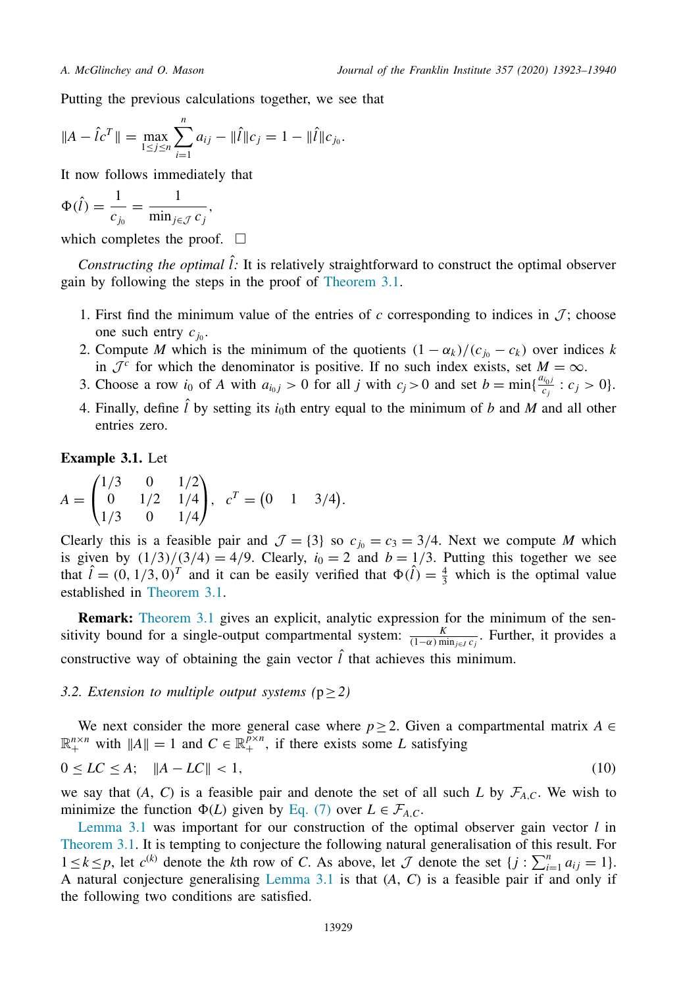<span id="page-6-0"></span>Putting the previous calculations together, we see that

$$
||A - \hat{I}c^T|| = \max_{1 \le j \le n} \sum_{i=1}^n a_{ij} - ||\hat{I}||c_j = 1 - ||\hat{I}||c_{j_0}.
$$

It now follows immediately that

$$
\Phi(\hat{l}) = \frac{1}{c_{j_0}} = \frac{1}{\min_{j \in \mathcal{J}} c_j},
$$

which completes the proof.  $\square$ 

*Constructing the optimal*  $\hat{l}$ : It is relatively straightforward to construct the optimal observer gain by following the steps in the proof of [Theorem](#page-5-0) 3.1.

- 1. First find the minimum value of the entries of c corresponding to indices in  $\mathcal{J}$ ; choose one such entry  $c_{j_0}$ .
- 2. Compute *M* which is the minimum of the quotients  $(1 \alpha_k)/(c_{j_0} c_k)$  over indices *k* in  $\mathcal{J}^c$  for which the denominator is positive. If no such index exists, set  $M = \infty$ .
- 3. Choose a row *i*<sub>0</sub> of *A* with  $a_{i_0j} > 0$  for all *j* with  $c_j > 0$  and set  $b = \min\{\frac{a_{i_0j}}{c_j} : c_j > 0\}$ .
- 4. Finally, define  $\hat{l}$  by setting its  $i_0$ th entry equal to the minimum of *b* and *M* and all other entries zero.

**Example 3.1.** Let

$$
A = \begin{pmatrix} 1/3 & 0 & 1/2 \\ 0 & 1/2 & 1/4 \\ 1/3 & 0 & 1/4 \end{pmatrix}, \quad c^T = \begin{pmatrix} 0 & 1 & 3/4 \end{pmatrix}.
$$

Clearly this is a feasible pair and  $\mathcal{J} = \{3\}$  so  $c_{i_0} = c_3 = 3/4$ . Next we compute *M* which is given by  $(1/3)/(3/4) = 4/9$ . Clearly,  $i_0 = 2$  and  $b = 1/3$ . Putting this together we see that  $\hat{l} = (0, 1/3, 0)^T$  and it can be easily verified that  $\Phi(\hat{l}) = \frac{4}{3}$  which is the optimal value established in [Theorem](#page-5-0) 3.1.

**Remark:** [Theorem](#page-5-0) 3.1 gives an explicit, analytic expression for the minimum of the sensitivity bound for a single-output compartmental system:  $\frac{K}{(1-\alpha)\min_{j\in J}c_j}$ . Further, it provides a constructive way of obtaining the gain vector  $\hat{l}$  that achieves this minimum.

### *3.2. Extension to multiple output systems*  $(p \geq 2)$

We next consider the more general case where  $p \geq 2$ . Given a compartmental matrix  $A \in$  $\mathbb{R}^{n \times n}_+$  with  $||A|| = 1$  and  $C \in \mathbb{R}^{n \times n}_+$ , if there exists some *L* satisfying

$$
0 \le LC \le A; \quad \|A - LC\| < 1,\tag{10}
$$

we say that  $(A, C)$  is a feasible pair and denote the set of all such *L* by  $\mathcal{F}_{A,C}$ . We wish to minimize the function  $\Phi(L)$  given by [Eq.](#page-3-0) (7) over  $L \in \mathcal{F}_{A,C}$ .

[Lemma](#page-4-0) 3.1 was important for our construction of the optimal observer gain vector *l* in [Theorem](#page-5-0) 3.1. It is tempting to conjecture the following natural generalisation of this result. For 1≤*k*≤*p*, let  $c^{(k)}$  denote the *k*th row of *C*. As above, let *J* denote the set {*j* :  $\sum_{i=1}^{n} a_{ij} = 1$ }. A natural conjecture generalising [Lemma](#page-4-0) 3.1 is that (*A*, *C*) is a feasible pair if and only if the following two conditions are satisfied.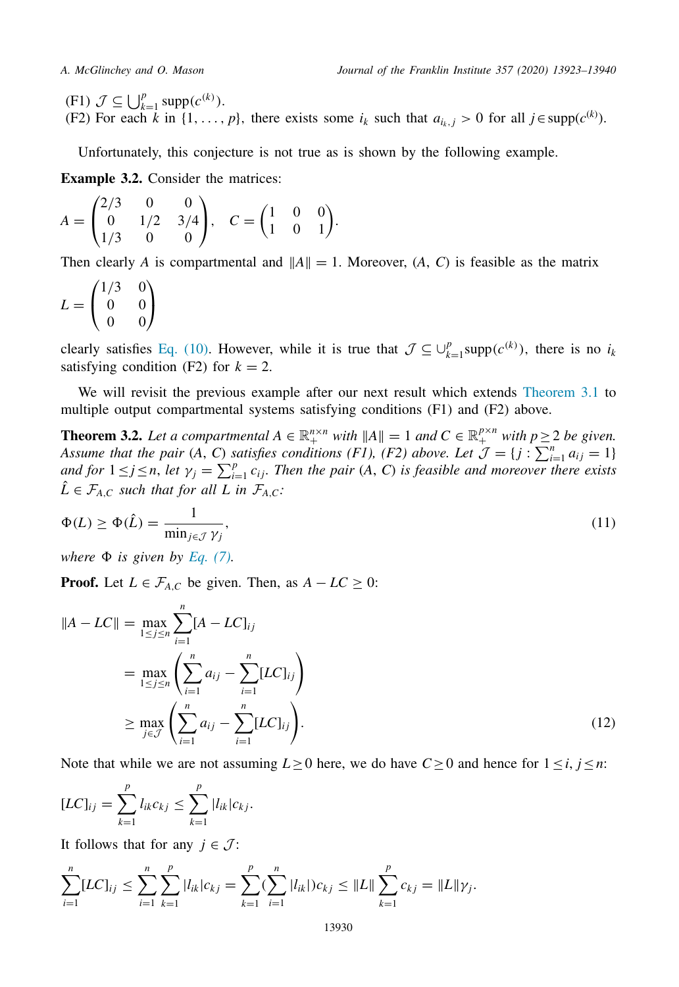<span id="page-7-0"></span>(F1)  $\mathcal{J} \subseteq \bigcup_{k=1}^{p} \text{supp}(c^{(k)})$ . (F2) For each *k* in  $\{1, \ldots, p\}$ , there exists some  $i_k$  such that  $a_{i_k, j} > 0$  for all  $j \in \text{supp}(c^{(k)})$ .

Unfortunately, this conjecture is not true as is shown by the following example.

**Example 3.2.** Consider the matrices:

$$
A = \begin{pmatrix} 2/3 & 0 & 0 \\ 0 & 1/2 & 3/4 \\ 1/3 & 0 & 0 \end{pmatrix}, \quad C = \begin{pmatrix} 1 & 0 & 0 \\ 1 & 0 & 1 \end{pmatrix}.
$$

Then clearly *A* is compartmental and  $||A|| = 1$ . Moreover,  $(A, C)$  is feasible as the matrix

$$
L = \begin{pmatrix} 1/3 & 0 \\ 0 & 0 \\ 0 & 0 \end{pmatrix}
$$

clearly satisfies Eq. [\(10\).](#page-6-0) However, while it is true that  $\mathcal{J} \subseteq \bigcup_{k=1}^p \text{supp}(c^{(k)})$ , there is no *i<sub>k</sub>* satisfying condition (F2) for  $k = 2$ .

We will revisit the previous example after our next result which extends [Theorem](#page-5-0) 3.1 to multiple output compartmental systems satisfying conditions (F1) and (F2) above.

**Theorem 3.2.** *Let a compartmental*  $A \in \mathbb{R}_+^{n \times n}$  *with*  $||A|| = 1$  *and*  $C \in \mathbb{R}_+^{p \times n}$  *with*  $p \ge 2$  *be given. Assume that the pair*  $(A, C)$  *satisfies conditions*  $(F1)$ *,*  $(F2)$  *above.* Let  $\mathcal{J} = \{j : \sum_{i=1}^{n} a_{ij} = 1\}$ and for  $1 \le j \le n$ , let  $\gamma_j = \sum_{i=1}^p c_{ij}$ . Then the pair (A, C) is feasible and moreover there exists  $\hat{L} \in \mathcal{F}_{A,C}$  *such that for all L in*  $\mathcal{F}_{A,C}$ *:* 

$$
\Phi(L) \ge \Phi(\hat{L}) = \frac{1}{\min_{j \in \mathcal{J}} \gamma_j},\tag{11}
$$

*where*  $\Phi$  *is given by [Eq.](#page-3-0)* (7).

**Proof.** Let  $L \in \mathcal{F}_{A,C}$  be given. Then, as  $A - LC \geq 0$ :

$$
||A - LC|| = \max_{1 \le j \le n} \sum_{i=1}^{n} [A - LC]_{ij}
$$
  
= 
$$
\max_{1 \le j \le n} \left( \sum_{i=1}^{n} a_{ij} - \sum_{i=1}^{n} [LC]_{ij} \right)
$$
  

$$
\ge \max_{j \in \mathcal{J}} \left( \sum_{i=1}^{n} a_{ij} - \sum_{i=1}^{n} [LC]_{ij} \right).
$$
 (12)

Note that while we are not assuming  $L \ge 0$  here, we do have  $C \ge 0$  and hence for  $1 \le i, j \le n$ :

$$
[LC]_{ij} = \sum_{k=1}^p l_{ik} c_{kj} \leq \sum_{k=1}^p |l_{ik}| c_{kj}.
$$

It follows that for any  $j \in \mathcal{J}$ :

$$
\sum_{i=1}^n [LC]_{ij} \leq \sum_{i=1}^n \sum_{k=1}^p |l_{ik}|c_{kj} = \sum_{k=1}^p (\sum_{i=1}^n |l_{ik}|)c_{kj} \leq ||L|| \sum_{k=1}^p c_{kj} = ||L|| \gamma_j.
$$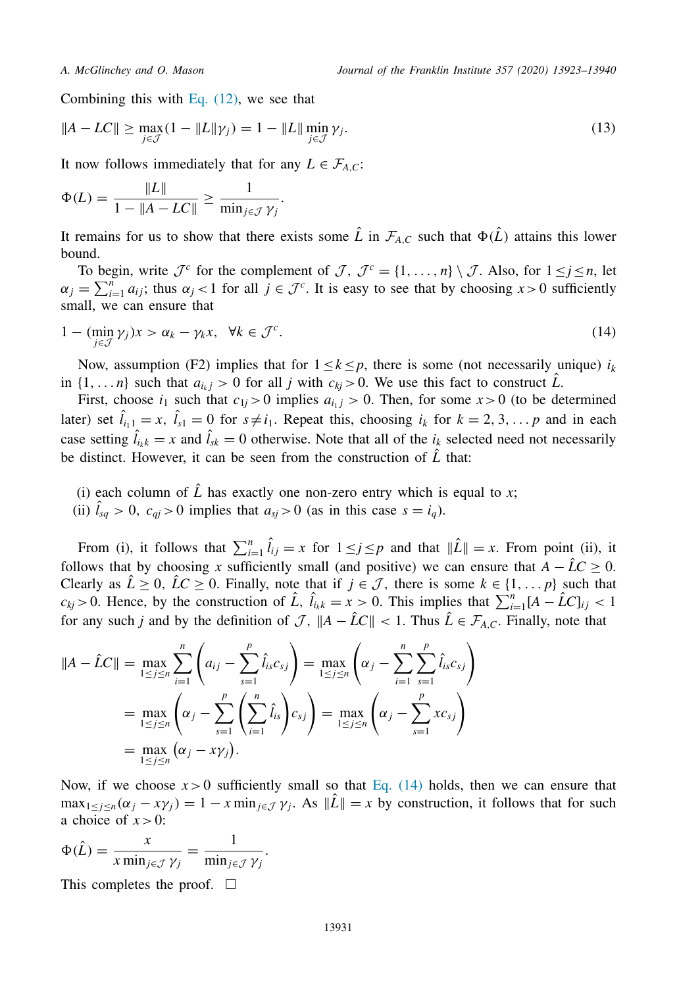Combining this with Eq.  $(12)$ , we see that

$$
||A - LC|| \ge \max_{j \in \mathcal{J}} (1 - ||L||\gamma_j) = 1 - ||L|| \min_{j \in \mathcal{J}} \gamma_j.
$$
\n
$$
(13)
$$

It now follows immediately that for any  $L \in \mathcal{F}_{A,C}$ :

$$
\Phi(L) = \frac{\|L\|}{1 - \|A - LC\|} \ge \frac{1}{\min_{j \in \mathcal{J}} \gamma_j}.
$$

It remains for us to show that there exists some  $\hat{L}$  in  $\mathcal{F}_{A,C}$  such that  $\Phi(\hat{L})$  attains this lower bound.

To begin, write  $\mathcal{J}^c$  for the complement of  $\mathcal{J}, \mathcal{J}^c = \{1, \ldots, n\} \setminus \mathcal{J}$ . Also, for  $1 \leq j \leq n$ , let  $\alpha_j = \sum_{i=1}^n a_{ij}$ ; thus  $\alpha_j < 1$  for all  $j \in \mathcal{J}^c$ . It is easy to see that by choosing  $x > 0$  sufficiently small, we can ensure that

$$
1 - (\min_{j \in \mathcal{J}} \gamma_j) x > \alpha_k - \gamma_k x, \ \ \forall k \in \mathcal{J}^c.
$$
 (14)

Now, assumption (F2) implies that for  $1 \leq k \leq p$ , there is some (not necessarily unique)  $i_k$ in  $\{1, \ldots n\}$  such that  $a_{i,j} > 0$  for all *j* with  $c_{ki} > 0$ . We use this fact to construct  $\hat{L}$ .

First, choose  $i_1$  such that  $c_{1j} > 0$  implies  $a_{i_1j} > 0$ . Then, for some  $x > 0$  (to be determined later) set  $\hat{l}_{i_1} = x$ ,  $\hat{l}_{s_1} = 0$  for  $s \neq i_1$ . Repeat this, choosing  $i_k$  for  $k = 2, 3, \ldots, p$  and in each case setting  $\hat{l}_{i,k} = x$  and  $\hat{l}_{sk} = 0$  otherwise. Note that all of the  $i_k$  selected need not necessarily be distinct. However, it can be seen from the construction of  $\hat{L}$  that:

- (i) each column of  $\hat{L}$  has exactly one non-zero entry which is equal to *x*;
- (ii)  $l_{sq} > 0$ ,  $c_{qi} > 0$  implies that  $a_{sj} > 0$  (as in this case  $s = i_q$ ).

From (i), it follows that  $\sum_{i=1}^{n} \hat{l}_{ij} = x$  for  $1 \leq j \leq p$  and that  $\|\hat{L}\| = x$ . From point (ii), it follows that by choosing *x* sufficiently small (and positive) we can ensure that  $A - \hat{L}C \ge 0$ . Clearly as  $\hat{L} \ge 0$ ,  $\hat{L} \le 0$ . Finally, note that if  $j \in \mathcal{J}$ , there is some  $k \in \{1, ..., p\}$  such that  $c_{kj} > 0$ . Hence, by the construction of  $\hat{L}$ ,  $\hat{l}_{ik} = x > 0$ . This implies that  $\sum_{i=1}^{n} [A - \hat{L}C]_{ij} < 1$ for any such *j* and by the definition of  $\mathcal{J}$ ,  $||A - \hat{L}C|| < 1$ . Thus  $\hat{L} \in \mathcal{F}_{A,C}$ . Finally, note that

$$
||A - \hat{L}C|| = \max_{1 \le j \le n} \sum_{i=1}^{n} \left( a_{ij} - \sum_{s=1}^{p} \hat{l}_{is} c_{sj} \right) = \max_{1 \le j \le n} \left( \alpha_{j} - \sum_{i=1}^{n} \sum_{s=1}^{p} \hat{l}_{is} c_{sj} \right)
$$
  
= 
$$
\max_{1 \le j \le n} \left( \alpha_{j} - \sum_{s=1}^{p} \left( \sum_{i=1}^{n} \hat{l}_{is} \right) c_{sj} \right) = \max_{1 \le j \le n} \left( \alpha_{j} - \sum_{s=1}^{p} x c_{sj} \right)
$$
  
= 
$$
\max_{1 \le j \le n} (\alpha_{j} - x \gamma_{j}).
$$

Now, if we choose  $x > 0$  sufficiently small so that Eq. (14) holds, then we can ensure that  $\max_{1 \leq j \leq n} (\alpha_j - x\gamma_j) = 1 - x \min_{j \in \mathcal{J}} \gamma_j$ . As  $\|\mathcal{L}\| = x$  by construction, it follows that for such a choice of  $x > 0$ :

$$
\Phi(\hat{L}) = \frac{x}{x \min_{j \in \mathcal{J}} \gamma_j} = \frac{1}{\min_{j \in \mathcal{J}} \gamma_j}.
$$

This completes the proof.  $\square$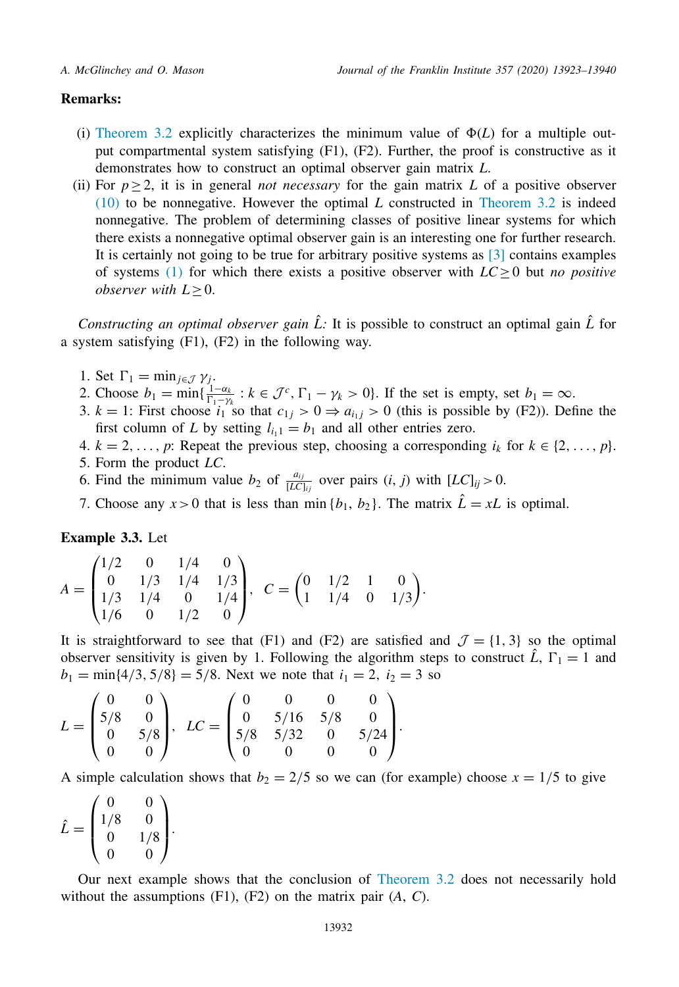### **Remarks:**

- (i) [Theorem](#page-7-0) 3.2 explicitly characterizes the minimum value of  $\Phi(L)$  for a multiple output compartmental system satisfying (F1), (F2). Further, the proof is constructive as it demonstrates how to construct an optimal observer gain matrix *L*.
- (ii) For  $p \geq 2$ , it is in general *not necessary* for the gain matrix L of a positive observer [\(10\)](#page-6-0) to be nonnegative. However the optimal *L* constructed in [Theorem](#page-7-0) 3.2 is indeed nonnegative. The problem of determining classes of positive linear systems for which there exists a nonnegative optimal observer gain is an interesting one for further research. It is certainly not going to be true for arbitrary positive systems as [\[3\]](#page-16-0) contains examples of systems [\(1\)](#page-0-0) for which there exists a positive observer with  $LC \geq 0$  but *no positive observer with*  $L \geq 0$ .

*Constructing an optimal observer gain*  $\hat{L}$ : It is possible to construct an optimal gain  $\hat{L}$  for a system satisfying (F1), (F2) in the following way.

- 1. Set  $\Gamma_1 = \min_{j \in \mathcal{J}} \gamma_j$ .
- 2. Choose  $b_1 = \min\{\frac{1-\alpha_k}{\Gamma_1-\gamma_k}: k \in \mathcal{J}^c, \Gamma_1-\gamma_k > 0\}$ . If the set is empty, set  $b_1 = \infty$ .
- 3.  $k = 1$ : First choose  $i_1$  so that  $c_{1j} > 0 \Rightarrow a_{i_1j} > 0$  (this is possible by (F2)). Define the first column of *L* by setting  $l_{i_11} = b_1$  and all other entries zero.
- 4.  $k = 2, \ldots, p$ : Repeat the previous step, choosing a corresponding  $i_k$  for  $k \in \{2, \ldots, p\}$ . 5. Form the product *LC*.
- 6. Find the minimum value  $b_2$  of  $\frac{a_{ij}}{[LC]_{ij}}$  over pairs  $(i, j)$  with  $[LC]_{ij} > 0$ .
- 7. Choose any  $x > 0$  that is less than min  $\{b_1, b_2\}$ . The matrix  $\hat{L} = xL$  is optimal.

**Example 3.3.** Let

$$
A = \begin{pmatrix} 1/2 & 0 & 1/4 & 0 \\ 0 & 1/3 & 1/4 & 1/3 \\ 1/3 & 1/4 & 0 & 1/4 \\ 1/6 & 0 & 1/2 & 0 \end{pmatrix}, C = \begin{pmatrix} 0 & 1/2 & 1 & 0 \\ 1 & 1/4 & 0 & 1/3 \end{pmatrix}.
$$

It is straightforward to see that (F1) and (F2) are satisfied and  $\mathcal{J} = \{1, 3\}$  so the optimal observer sensitivity is given by 1. Following the algorithm steps to construct  $\hat{L}$ ,  $\Gamma_1 = 1$  and  $b_1 = \min\{4/3, 5/8\} = 5/8$ . Next we note that  $i_1 = 2$ ,  $i_2 = 3$  so

$$
L = \begin{pmatrix} 0 & 0 \\ 5/8 & 0 \\ 0 & 5/8 \\ 0 & 0 \end{pmatrix}, \quad LC = \begin{pmatrix} 0 & 0 & 0 & 0 \\ 0 & 5/16 & 5/8 & 0 \\ 5/8 & 5/32 & 0 & 5/24 \\ 0 & 0 & 0 & 0 \end{pmatrix}.
$$

A simple calculation shows that  $b_2 = 2/5$  so we can (for example) choose  $x = 1/5$  to give

$$
\hat{L} = \begin{pmatrix} 0 & 0 \\ 1/8 & 0 \\ 0 & 1/8 \\ 0 & 0 \end{pmatrix}.
$$

Our next example shows that the conclusion of [Theorem](#page-7-0) 3.2 does not necessarily hold without the assumptions (F1), (F2) on the matrix pair (*A*, *C*).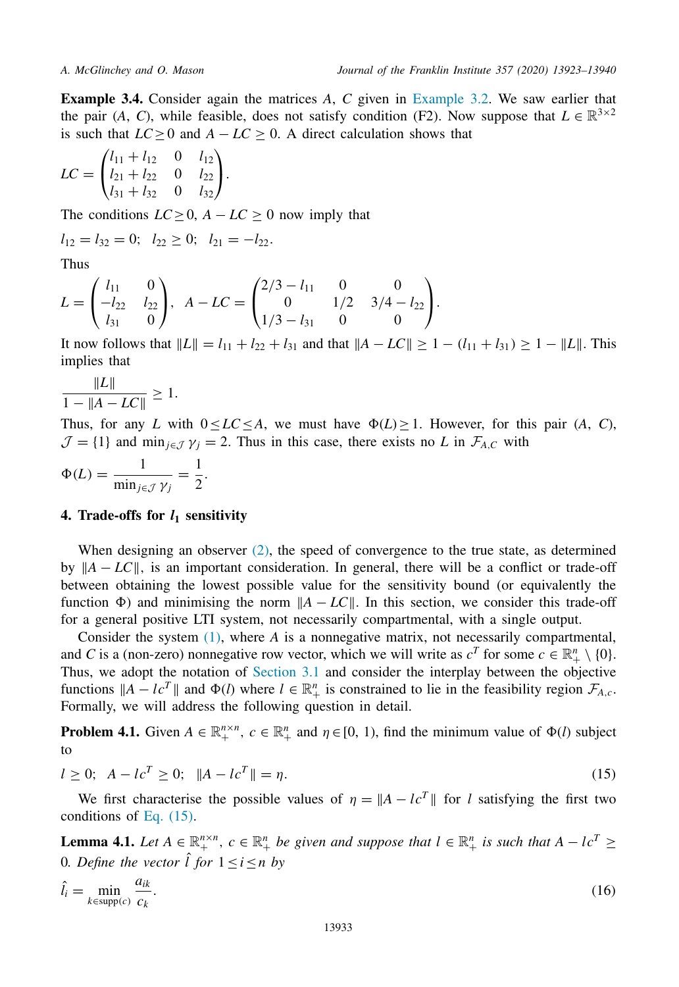<span id="page-10-0"></span>**Example 3.4.** Consider again the matrices *A*, *C* given in [Example](#page-7-0) 3.2. We saw earlier that the pair (*A*, *C*), while feasible, does not satisfy condition (F2). Now suppose that  $L \in \mathbb{R}^{3 \times 2}$ is such that  $LC > 0$  and  $A - LC > 0$ . A direct calculation shows that

$$
LC = \begin{pmatrix} l_{11} + l_{12} & 0 & l_{12} \\ l_{21} + l_{22} & 0 & l_{22} \\ l_{31} + l_{32} & 0 & l_{32} \end{pmatrix}.
$$

The conditions  $LC \geq 0$ ,  $A - LC \geq 0$  now imply that

$$
l_{12} = l_{32} = 0;
$$
  $l_{22} \ge 0;$   $l_{21} = -l_{22}.$ 

Thus

$$
L = \begin{pmatrix} l_{11} & 0 \\ -l_{22} & l_{22} \\ l_{31} & 0 \end{pmatrix}, A - LC = \begin{pmatrix} 2/3 - l_{11} & 0 & 0 \\ 0 & 1/2 & 3/4 - l_{22} \\ 1/3 - l_{31} & 0 & 0 \end{pmatrix}.
$$

It now follows that  $||L|| = l_{11} + l_{22} + l_{31}$  and that  $||A - LC|| \ge 1 - (l_{11} + l_{31}) \ge 1 - ||L||$ . This implies that

$$
\frac{\|L\|}{1 - \|A - LC\|} \ge 1.
$$

Thus, for any *L* with  $0 \le LC \le A$ , we must have  $\Phi(L) \ge 1$ . However, for this pair (*A*, *C*),  $\mathcal{J} = \{1\}$  and min<sub>j∈J</sub>  $\gamma$ <sub>j</sub> = 2. Thus in this case, there exists no *L* in  $\mathcal{F}_{A,C}$  with

$$
\Phi(L) = \frac{1}{\min_{j \in \mathcal{J}} \gamma_j} = \frac{1}{2}.
$$

### **4. Trade-offs for** *l***<sup>1</sup> sensitivity**

When designing an observer  $(2)$ , the speed of convergence to the true state, as determined by  $||A - LC||$ , is an important consideration. In general, there will be a conflict or trade-off between obtaining the lowest possible value for the sensitivity bound (or equivalently the function  $\Phi$ ) and minimising the norm  $\|A - LC\|$ . In this section, we consider this trade-off for a general positive LTI system, not necessarily compartmental, with a single output.

Consider the system [\(1\),](#page-0-0) where *A* is a nonnegative matrix, not necessarily compartmental, and *C* is a (non-zero) nonnegative row vector, which we will write as  $c^T$  for some  $c \in \mathbb{R}^n_+ \setminus \{0\}$ . Thus, we adopt the notation of [Section](#page-4-0) 3.1 and consider the interplay between the objective functions  $||A - lc^T||$  and  $\Phi(l)$  where  $l \in \mathbb{R}^n_+$  is constrained to lie in the feasibility region  $\mathcal{F}_{A,c}$ . Formally, we will address the following question in detail.

**Problem 4.1.** Given  $A \in \mathbb{R}_+^{n \times n}$ ,  $c \in \mathbb{R}_+^n$  and  $\eta \in [0, 1)$ , find the minimum value of  $\Phi(l)$  subject to

$$
l \ge 0; \ \ A - lc^{T} \ge 0; \ \ \|A - lc^{T}\| = \eta. \tag{15}
$$

We first characterise the possible values of  $\eta = \|A - lc^T\|$  for *l* satisfying the first two conditions of Eq. (15).

**Lemma 4.1.** Let  $A \in \mathbb{R}^{n \times n}_+$ ,  $c \in \mathbb{R}^n_+$  be given and suppose that  $l \in \mathbb{R}^n_+$  is such that  $A - lc^T \ge$ 0*. Define the vector*  $\hat{l}$  *for*  $1 \leq i \leq n$  *by* 

$$
\hat{l}_i = \min_{k \in \text{supp}(c)} \frac{a_{ik}}{c_k}.\tag{16}
$$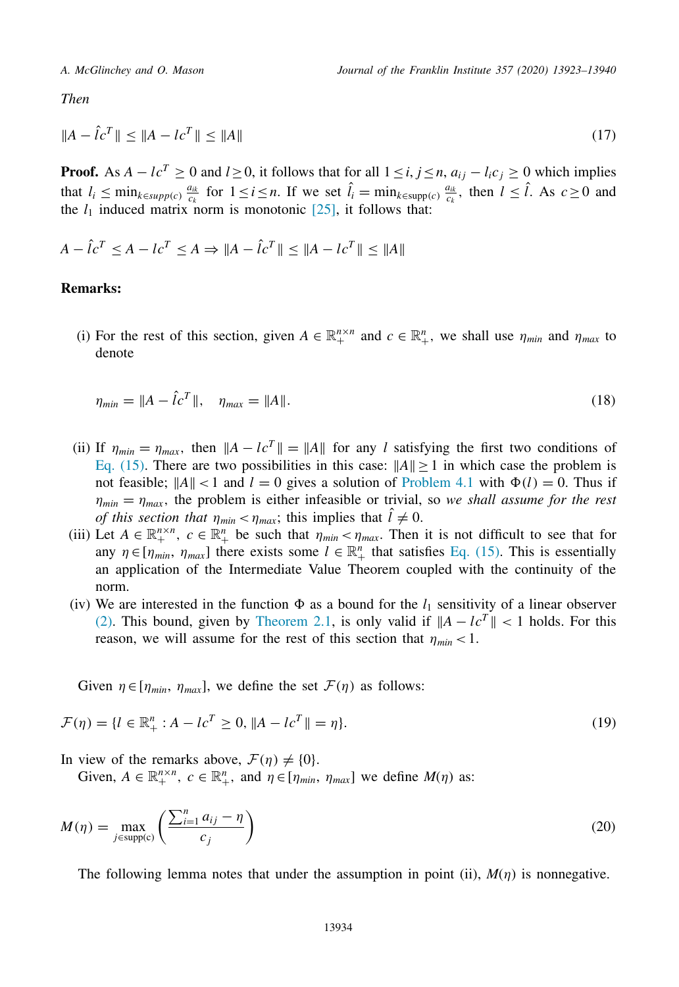<span id="page-11-0"></span>*Then*

$$
||A - \hat{l}c^T|| \le ||A - lc^T|| \le ||A|| \tag{17}
$$

**Proof.** As  $A - lc^T \ge 0$  and  $l \ge 0$ , it follows that for all  $1 \le i, j \le n$ ,  $a_{ij} - l_i c_j \ge 0$  which implies that  $l_i \leq \min_{k \in \text{supp}(c)} \frac{a_{ik}}{c_k}$  for  $1 \leq i \leq n$ . If we set  $\hat{l}_i = \min_{k \in \text{supp}(c)} \frac{a_{ik}}{c_k}$ , then  $l \leq \hat{l}$ . As  $c \geq 0$  and the  $l_1$  induced matrix norm is monotonic  $[25]$ , it follows that:

$$
A - \hat{L}c^{T} \le A - Lc^{T} \le A \Rightarrow \|A - \hat{L}c^{T}\| \le \|A - Lc^{T}\| \le \|A\|
$$

### **Remarks:**

(i) For the rest of this section, given  $A \in \mathbb{R}^{n \times n}_{+}$  and  $c \in \mathbb{R}^{n}_{+}$ , we shall use  $\eta_{min}$  and  $\eta_{max}$  to denote

$$
\eta_{min} = \|A - \hat{l}c^T\|, \quad \eta_{max} = \|A\|.
$$
\n(18)

- (ii) If  $\eta_{min} = \eta_{max}$ , then  $||A lc^T|| = ||A||$  for any *l* satisfying the first two conditions of Eq. [\(15\).](#page-10-0) There are two possibilities in this case:  $||A|| \ge 1$  in which case the problem is not feasible;  $||A|| < 1$  and  $l = 0$  gives a solution of [Problem](#page-10-0) 4.1 with  $\Phi(l) = 0$ . Thus if  $\eta_{min} = \eta_{max}$ , the problem is either infeasible or trivial, so we shall assume for the rest *of this section that*  $\eta_{min} < \eta_{max}$ ; this implies that  $\hat{l} \neq 0$ .
- (iii) Let  $A \in \mathbb{R}^{n \times n}$ ,  $c \in \mathbb{R}^{n}$ , be such that  $\eta_{min} < \eta_{max}$ . Then it is not difficult to see that for any  $\eta \in [\eta_{min}, \eta_{max}]$  there exists some  $l \in \mathbb{R}^n_+$  that satisfies Eq. [\(15\).](#page-10-0) This is essentially an application of the Intermediate Value Theorem coupled with the continuity of the norm.
- (iv) We are interested in the function  $\Phi$  as a bound for the  $l_1$  sensitivity of a linear observer [\(2\).](#page-1-0) This bound, given by [Theorem](#page-3-0) 2.1, is only valid if  $||A - lc^T|| < 1$  holds. For this reason, we will assume for the rest of this section that  $\eta_{min}$  < 1.

Given  $\eta \in [\eta_{min}, \eta_{max}]$ , we define the set  $\mathcal{F}(\eta)$  as follows:

$$
\mathcal{F}(\eta) = \{l \in \mathbb{R}_+^n : A - lc^T \ge 0, \|A - lc^T\| = \eta\}.
$$
\n(19)

In view of the remarks above,  $\mathcal{F}(\eta) \neq \{0\}$ .

Given,  $A \in \mathbb{R}_+^{n \times n}$ ,  $c \in \mathbb{R}_+^n$ , and  $\eta \in [\eta_{min}, \eta_{max}]$  we define  $M(\eta)$  as:

$$
M(\eta) = \max_{j \in \text{supp}(c)} \left( \frac{\sum_{i=1}^{n} a_{ij} - \eta}{c_j} \right)
$$
 (20)

The following lemma notes that under the assumption in point (ii),  $M(\eta)$  is nonnegative.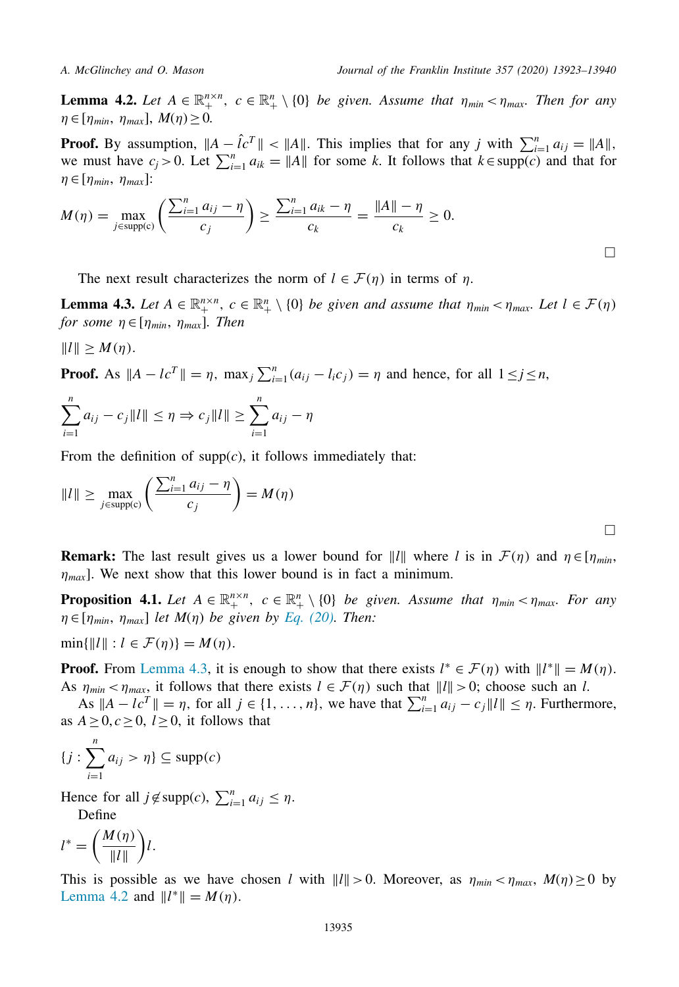<span id="page-12-0"></span>

**Lemma 4.2.** *Let*  $A \in \mathbb{R}_+^{n \times n}$ ,  $c \in \mathbb{R}_+^n \setminus \{0\}$  *be given. Assume that*  $\eta_{min} < \eta_{max}$ . Then for any  $\eta \in [\eta_{min}, \eta_{max}], M(\eta) \geq 0.$ 

**Proof.** By assumption,  $||A - \hat{L}^T|| < ||A||$ . This implies that for any *j* with  $\sum_{i=1}^n a_{ij} = ||A||$ , we must have  $c_j > 0$ . Let  $\sum_{i=1}^n a_{ik} = ||A||$  for some *k*. It follows that  $k \in \text{supp}(c)$  and that for  $\eta \in [\eta_{min}, \eta_{max}]$ :

$$
M(\eta) = \max_{j \in \text{supp}(c)} \left( \frac{\sum_{i=1}^{n} a_{ij} - \eta}{c_j} \right) \ge \frac{\sum_{i=1}^{n} a_{ik} - \eta}{c_k} = \frac{\|A\| - \eta}{c_k} \ge 0.
$$

The next result characterizes the norm of  $l \in \mathcal{F}(\eta)$  in terms of  $\eta$ .

**Lemma 4.3.** Let  $A \in \mathbb{R}_+^{n \times n}$ ,  $c \in \mathbb{R}_+^n \setminus \{0\}$  be given and assume that  $\eta_{min} < \eta_{max}$ . Let  $l \in \mathcal{F}(\eta)$ *for some*  $\eta \in [\eta_{min}, \eta_{max}]$ *. Then* 

 $||l|| \geq M(\eta).$ 

**Proof.** As  $||A - lc^T|| = \eta$ ,  $\max_j \sum_{i=1}^n (a_{ij} - l_i c_j) = \eta$  and hence, for all  $1 \le j \le n$ ,

$$
\sum_{i=1}^{n} a_{ij} - c_j \|l\| \le \eta \Rightarrow c_j \|l\| \ge \sum_{i=1}^{n} a_{ij} - \eta
$$

From the definition of  $supp(c)$ , it follows immediately that:

$$
||l|| \ge \max_{j \in \text{supp}(c)} \left( \frac{\sum_{i=1}^{n} a_{ij} - \eta}{c_j} \right) = M(\eta)
$$

**Remark:** The last result gives us a lower bound for  $||l||$  where *l* is in  $\mathcal{F}(\eta)$  and  $\eta \in [\eta_{min}]$ ,  $\eta_{max}$ ]. We next show that this lower bound is in fact a minimum.

**Proposition 4.1.** *Let*  $A \in \mathbb{R}_+^{n \times n}$ ,  $c \in \mathbb{R}_+^n \setminus \{0\}$  *be given. Assume that*  $\eta_{min} < \eta_{max}$ . For any  $\eta \in [\eta_{min}, \eta_{max}]$  *let*  $M(\eta)$  *be given by Eq.* [\(20\).](#page-11-0) *Then:* 

 $\min\{\|l\| : l \in \mathcal{F}(\eta)\} = M(\eta).$ 

**Proof.** From Lemma 4.3, it is enough to show that there exists  $l^* \in \mathcal{F}(\eta)$  with  $||l^*|| = M(\eta)$ . As  $\eta_{min} < \eta_{max}$ , it follows that there exists  $l \in \mathcal{F}(\eta)$  such that  $||l|| > 0$ ; choose such an *l*.

As  $||A - lc^T|| = \eta$ , for all  $j \in \{1, ..., n\}$ , we have that  $\sum_{i=1}^n a_{ij} - c_j ||I|| \leq \eta$ . Furthermore, as  $A \geq 0, c \geq 0, l \geq 0$ , it follows that

$$
\{j:\sum_{i=1}^n a_{ij} > \eta\} \subseteq \text{supp}(c)
$$

Hence for all  $j \notin \text{supp}(c)$ ,  $\sum_{i=1}^{n} a_{ij} \leq \eta$ .

Define

$$
l^* = \left(\frac{M(\eta)}{\|l\|}\right)l.
$$

This is possible as we have chosen *l* with  $||l|| > 0$ . Moreover, as  $\eta_{min} < \eta_{max}$ ,  $M(\eta) \ge 0$  by Lemma 4.2 and  $||l^*|| = M(\eta)$ .

 $\Box$ 

 $\Box$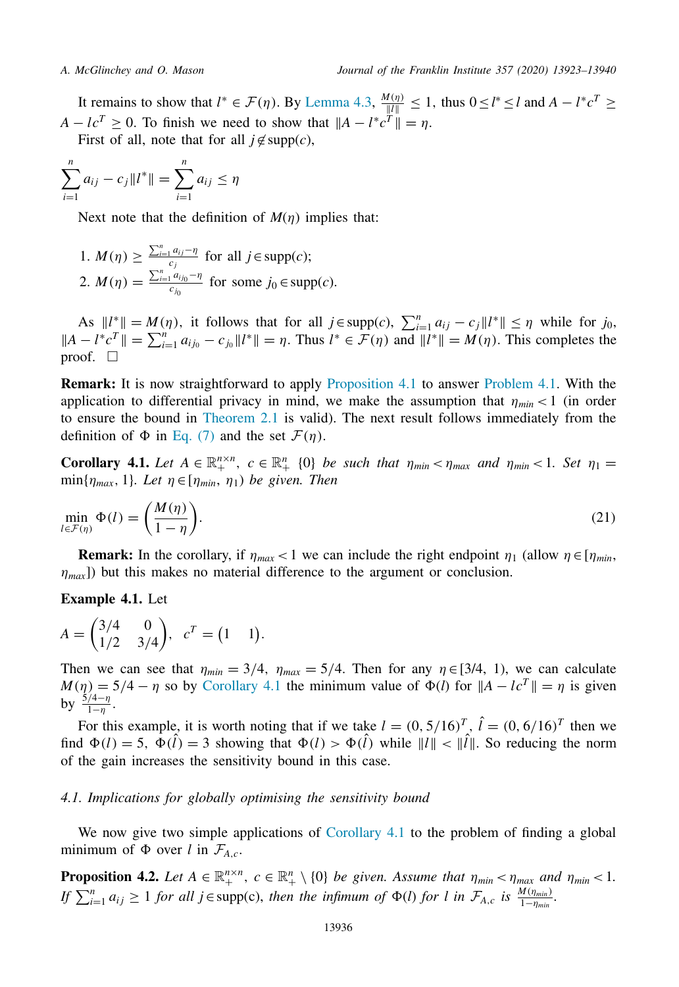<span id="page-13-0"></span>It remains to show that  $l^* \in \mathcal{F}(\eta)$ . By [Lemma](#page-12-0) 4.3,  $\frac{M(\eta)}{\|l\|} \le 1$ , thus  $0 \le l^* \le l$  and  $A - l^*c^T \ge$  $A - lc^{T} \geq 0$ . To finish we need to show that  $||A - l^{*}c^{T}|| = \eta$ . First of all, note that for all  $j \notin \text{supp}(c)$ ,

$$
\sum_{i=1}^{n} a_{ij} - c_j \|l^*\| = \sum_{i=1}^{n} a_{ij} \le \eta
$$

Next note that the definition of  $M(\eta)$  implies that:

1. *M*( $\eta$ )  $\geq \frac{\sum_{i=1}^{n} a_{ij} - \eta}{c_j}$  for all *j*∈supp(*c*); 2.  $M(\eta) = \frac{\sum_{i=1}^{n} a_{ij_0} - \eta}{c_{j_0}}$  for some  $j_0 \in \text{supp}(c)$ .

As  $||l^*|| = M(\eta)$ , it follows that for all  $j \in \text{supp}(c)$ ,  $\sum_{i=1}^n a_{ij} - c_j ||l^*|| \leq \eta$  while for  $j_0$ ,  $||A - l^*c^T|| = \sum_{i=1}^n a_{ij_0} - c_{j_0}||l^*|| = \eta$ . Thus  $l^* \in \mathcal{F}(\eta)$  and  $||l^*|| = M(\eta)$ . This completes the proof.  $\Box$ 

**Remark:** It is now straightforward to apply [Proposition](#page-12-0) 4.1 to answer [Problem](#page-10-0) 4.1. With the application to differential privacy in mind, we make the assumption that  $\eta_{min}$  < 1 (in order to ensure the bound in [Theorem](#page-3-0) 2.1 is valid). The next result follows immediately from the definition of  $\Phi$  in [Eq.](#page-3-0) (7) and the set  $\mathcal{F}(\eta)$ .

**Corollary 4.1.** *Let*  $A \in \mathbb{R}_+^{n \times n}$ ,  $c \in \mathbb{R}_+^n$  {0} *be such that*  $\eta_{min} < \eta_{max}$  *and*  $\eta_{min} < 1$ *. Set*  $\eta_1 =$ min $\{\eta_{max}, 1\}$ *. Let*  $\eta \in [\eta_{min}, \eta_1]$  *be given. Then* 

$$
\min_{l \in \mathcal{F}(\eta)} \Phi(l) = \left(\frac{M(\eta)}{1 - \eta}\right).
$$
\n(21)

**Remark:** In the corollary, if  $\eta_{max}$  < 1 we can include the right endpoint  $\eta_1$  (allow  $\eta \in [\eta_{min},$  $\eta_{max}$ ) but this makes no material difference to the argument or conclusion.

### **Example 4.1.** Let

$$
A = \begin{pmatrix} 3/4 & 0 \\ 1/2 & 3/4 \end{pmatrix}, \quad c^T = \begin{pmatrix} 1 & 1 \end{pmatrix}.
$$

Then we can see that  $\eta_{min} = 3/4$ ,  $\eta_{max} = 5/4$ . Then for any  $\eta \in [3/4, 1)$ , we can calculate  $M(\eta) = 5/4 - \eta$  so by Corollary 4.1 the minimum value of  $\Phi(l)$  for  $||A - lc^T|| = \eta$  is given by  $\frac{5/4-\eta}{1-\eta}$ .

For this example, it is worth noting that if we take  $l = (0, 5/16)^T$ ,  $\hat{l} = (0, 6/16)^T$  then we find  $\Phi(l) = 5$ ,  $\Phi(\hat{l}) = 3$  showing that  $\Phi(l) > \Phi(\hat{l})$  while  $||l|| < ||\hat{l}||$ . So reducing the norm of the gain increases the sensitivity bound in this case.

### *4.1. Implications for globally optimising the sensitivity bound*

We now give two simple applications of Corollary 4.1 to the problem of finding a global minimum of  $\Phi$  over *l* in  $\mathcal{F}_{A,c}$ .

**Proposition 4.2.** *Let*  $A \in \mathbb{R}_+^{n \times n}$ ,  $c \in \mathbb{R}_+^n \setminus \{0\}$  *be given. Assume that*  $\eta_{min} < \eta_{max}$  and  $\eta_{min} < 1$ . If  $\sum_{i=1}^n a_{ij} \ge 1$  for all  $j \in \text{supp}(c)$ , then the infimum of  $\Phi(l)$  for l in  $\mathcal{F}_{A,c}$  is  $\frac{M(\eta_{min})}{1-\eta_{min}}$ .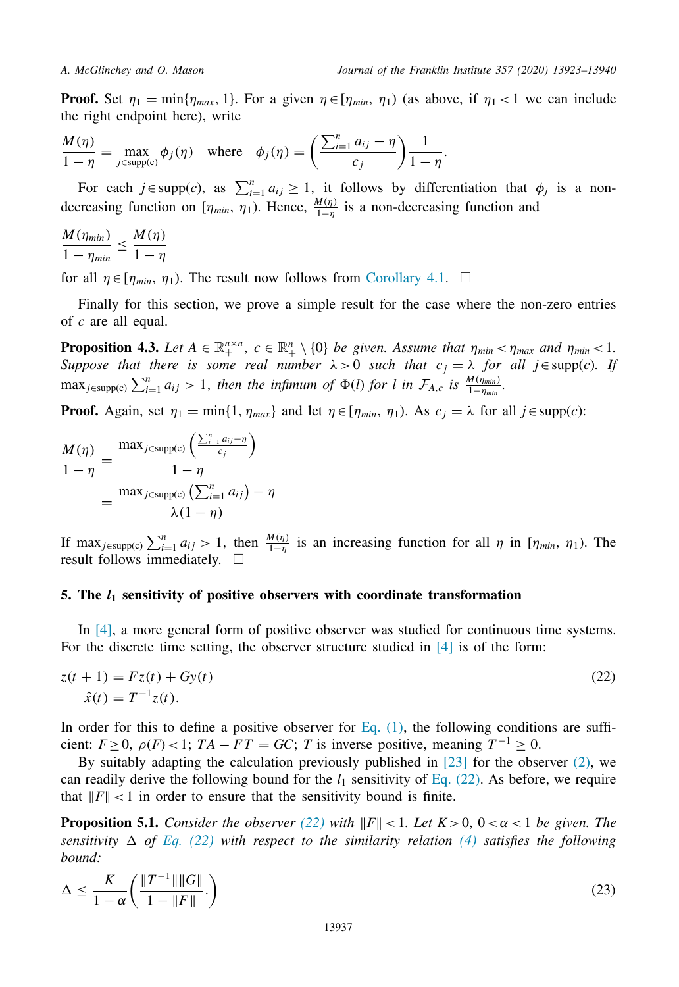<span id="page-14-0"></span>**Proof.** Set  $\eta_1 = \min\{\eta_{max}, 1\}$ . For a given  $\eta \in [\eta_{min}, \eta_1]$  (as above, if  $\eta_1 < 1$  we can include the right endpoint here), write

$$
\frac{M(\eta)}{1-\eta} = \max_{j \in \text{supp}(c)} \phi_j(\eta) \quad \text{where} \quad \phi_j(\eta) = \left(\frac{\sum_{i=1}^n a_{ij} - \eta}{c_j}\right) \frac{1}{1-\eta}.
$$

For each  $j \in \text{supp}(c)$ , as  $\sum_{i=1}^{n} a_{ij} \ge 1$ , it follows by differentiation that  $\phi_j$  is a nondecreasing function on  $[\eta_{min}, \eta_1]$ . Hence,  $\frac{M(\eta)}{1-\eta}$  is a non-decreasing function and

$$
\frac{M(\eta_{min})}{1-\eta_{min}} \le \frac{M(\eta)}{1-\eta}
$$

for all  $\eta \in [\eta_{min}, \eta_1]$ . The result now follows from [Corollary](#page-13-0) 4.1.  $\Box$ 

Finally for this section, we prove a simple result for the case where the non-zero entries of *c* are all equal.

**Proposition 4.3.** *Let*  $A \in \mathbb{R}_+^{n \times n}$ ,  $c \in \mathbb{R}_+^n \setminus \{0\}$  *be given. Assume that*  $\eta_{min} < \eta_{max}$  *and*  $\eta_{min} < 1$ *. Suppose that there is some real number*  $\lambda > 0$  *such that*  $c_j = \lambda$  *for all j*∈supp(*c*)*. If*  $\max_{j \in \text{supp}(c)} \sum_{i=1}^{n} a_{ij} > 1$ , then the *infimum of*  $\Phi(l)$  *for l in*  $\mathcal{F}_{A,c}$  *is*  $\frac{M(\eta_{min})}{1-\eta_{min}}$ .

**Proof.** Again, set  $\eta_1 = \min\{1, \eta_{max}\}$  and let  $\eta \in [\eta_{min}, \eta_1]$ . As  $c_j = \lambda$  for all  $j \in \text{supp}(c)$ :

$$
\frac{M(\eta)}{1-\eta} = \frac{\max_{j \in \text{supp(c)}} \left( \frac{\sum_{i=1}^{n} a_{ij} - \eta}{c_j} \right)}{1-\eta}
$$

$$
= \frac{\max_{j \in \text{supp(c)}} \left( \sum_{i=1}^{n} a_{ij} \right) - \eta}{\lambda(1-\eta)}
$$

If max<sub>j∈supp(c)</sub>  $\sum_{i=1}^{n} a_{ij} > 1$ , then  $\frac{M(\eta)}{1-\eta}$  is an increasing function for all  $\eta$  in [ $\eta_{min}$ ,  $\eta_1$ ]. The result follows immediately.  $\square$ 

### **5. The** *l***<sup>1</sup> sensitivity of positive observers with coordinate transformation**

In [\[4\],](#page-16-0) a more general form of positive observer was studied for continuous time systems. For the discrete time setting, the observer structure studied in [\[4\]](#page-16-0) is of the form:

$$
z(t + 1) = Fz(t) + Gy(t)
$$
  
\n
$$
\hat{x}(t) = T^{-1}z(t).
$$
\n(22)

In order for this to define a positive observer for [Eq.](#page-0-0)  $(1)$ , the following conditions are sufficient:  $F \ge 0$ ,  $\rho(F) < 1$ ;  $TA - FT = GC$ ; *T* is inverse positive, meaning  $T^{-1} > 0$ .

By suitably adapting the calculation previously published in  $[23]$  for the observer  $(2)$ , we can readily derive the following bound for the  $l_1$  sensitivity of Eq. (22). As before, we require that  $||F|| < 1$  in order to ensure that the sensitivity bound is finite.

**Proposition 5.1.** *Consider the observer* (22) *with*  $||F|| < 1$ *. Let*  $K > 0$ ,  $0 < \alpha < 1$  *be given. The sensitivity*  $\Delta$  *of Eq.* (22) *with respect to the similarity relation* [\(4\)](#page-2-0) *satisfies the following bound:*

$$
\Delta \le \frac{K}{1-\alpha} \left( \frac{\|T^{-1}\| \|G\|}{1 - \|F\|} \right) \tag{23}
$$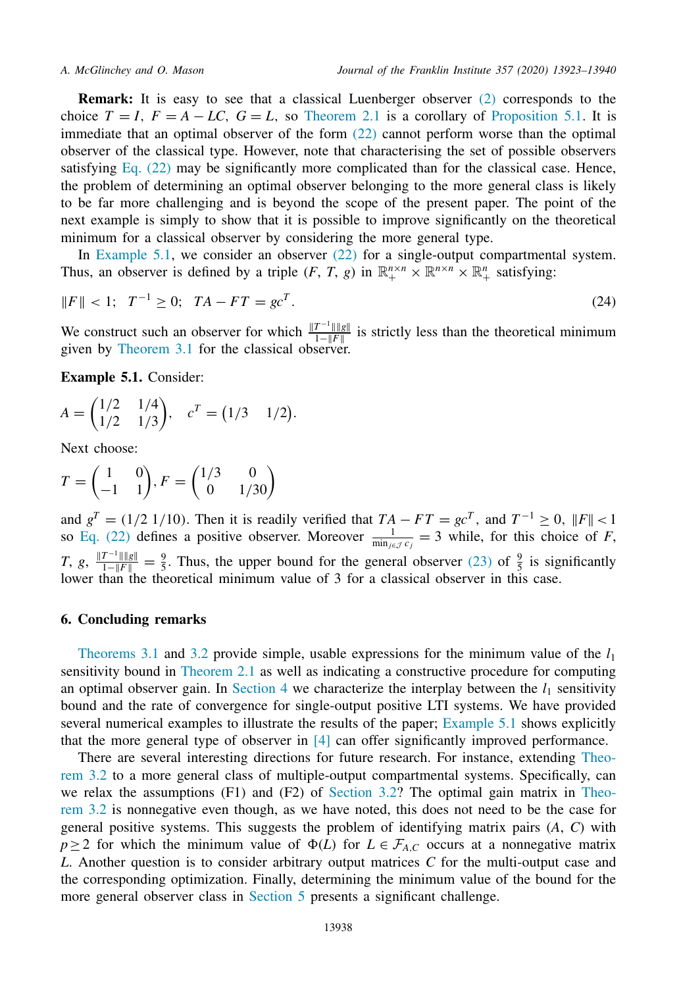<span id="page-15-0"></span>**Remark:** It is easy to see that a classical Luenberger observer [\(2\)](#page-1-0) corresponds to the choice  $T = I$ ,  $F = A - LC$ ,  $G = L$ , so [Theorem](#page-3-0) 2.1 is a corollary of [Proposition](#page-14-0) 5.1. It is immediate that an optimal observer of the form  $(22)$  cannot perform worse than the optimal observer of the classical type. However, note that characterising the set of possible observers satisfying Eq. [\(22\)](#page-14-0) may be significantly more complicated than for the classical case. Hence, the problem of determining an optimal observer belonging to the more general class is likely to be far more challenging and is beyond the scope of the present paper. The point of the next example is simply to show that it is possible to improve significantly on the theoretical minimum for a classical observer by considering the more general type.

In Example 5.1, we consider an observer [\(22\)](#page-14-0) for a single-output compartmental system. Thus, an observer is defined by a triple  $(F, T, g)$  in  $\mathbb{R}^{n \times n}_+ \times \mathbb{R}^{n \times n}_+ \times \mathbb{R}^n_+$  satisfying:

$$
||F|| < 1; \ T^{-1} \ge 0; \ TA - FT = gc^{T}.
$$
 (24)

We construct such an observer for which  $\frac{\|T^{-1}\| \|g\|}{1-\|F\|}$  is strictly less than the theoretical minimum given by [Theorem](#page-5-0) 3.1 for the classical observer.

**Example 5.1.** Consider:

$$
A = \begin{pmatrix} 1/2 & 1/4 \\ 1/2 & 1/3 \end{pmatrix}, \quad c^T = \begin{pmatrix} 1/3 & 1/2 \end{pmatrix}.
$$

Next choose:

$$
T = \begin{pmatrix} 1 & 0 \\ -1 & 1 \end{pmatrix}, F = \begin{pmatrix} 1/3 & 0 \\ 0 & 1/30 \end{pmatrix}
$$

and  $g^T = (1/2 \frac{1}{10})$ . Then it is readily verified that  $TA - FT = gc^T$ , and  $T^{-1} \ge 0$ ,  $||F|| < 1$ so Eq. [\(22\)](#page-14-0) defines a positive observer. Moreover  $\frac{1}{\min_{j \in \mathcal{J}} c_j} = 3$  while, for this choice of *F*, *T*, *g*,  $\frac{\|T^{-1}\| \|g\|}{1-\|F\|} = \frac{9}{5}$ . Thus, the upper bound for the general observer [\(23\)](#page-14-0) of  $\frac{9}{5}$  is significantly lower than the theoretical minimum value of 3 for a classical observer in this case.

### **6. Concluding remarks**

[Theorems](#page-5-0) 3.1 and [3.2](#page-7-0) provide simple, usable expressions for the minimum value of the  $l_1$ sensitivity bound in [Theorem](#page-3-0) 2.1 as well as indicating a constructive procedure for computing an optimal observer gain. In [Section](#page-10-0) 4 we characterize the interplay between the  $l_1$  sensitivity bound and the rate of convergence for single-output positive LTI systems. We have provided several numerical examples to illustrate the results of the paper; Example 5.1 shows explicitly that the more general type of observer in [\[4\]](#page-16-0) can offer significantly improved performance.

There are several interesting directions for future research. For instance, extending Theorem 3.2 to a more general class of [multiple-output](#page-7-0) compartmental systems. Specifically, can we relax the [assumptions](#page-7-0)  $(F1)$  and  $(F2)$  of [Section](#page-6-0) 3.2? The optimal gain matrix in Theorem 3.2 is nonnegative even though, as we have noted, this does not need to be the case for general positive systems. This suggests the problem of identifying matrix pairs (*A*, *C*) with *p* ≥ 2 for which the minimum value of  $\Phi(L)$  for  $L \in \mathcal{F}_{A,C}$  occurs at a nonnegative matrix *L*. Another question is to consider arbitrary output matrices *C* for the multi-output case and the corresponding optimization. Finally, determining the minimum value of the bound for the more general observer class in [Section](#page-14-0) 5 presents a significant challenge.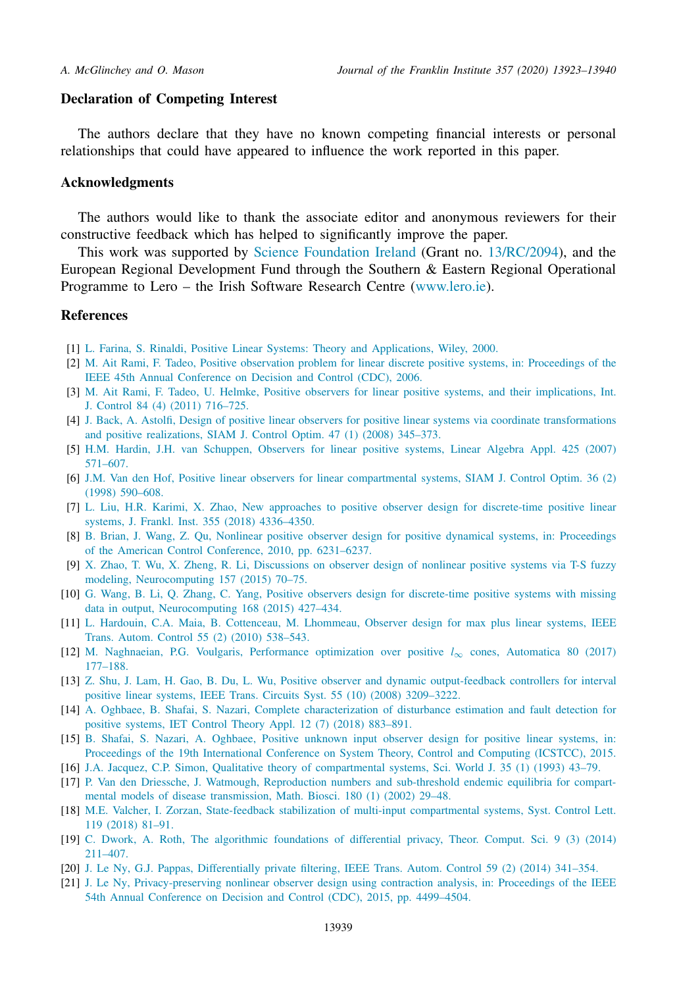### <span id="page-16-0"></span>**Declaration of Competing Interest**

The authors declare that they have no known competing financial interests or personal relationships that could have appeared to influence the work reported in this paper.

### **Acknowledgments**

The authors would like to thank the associate editor and anonymous reviewers for their constructive feedback which has helped to significantly improve the paper.

This work was supported by Science [Foundation](https://doi.org/10.13039/501100001602) Ireland (Grant no. 13/RC/2094), and the European Regional Development Fund through the Southern & Eastern Regional Operational Programme to Lero – the Irish Software Research Centre [\(www.lero.ie\)](http://www.lero.ie).

### **References**

- [1] L. [Farina,](http://refhub.elsevier.com/S0016-0032(20)30695-5/sbref0001) S. [Rinaldi,](http://refhub.elsevier.com/S0016-0032(20)30695-5/sbref0001) Positive Linear Systems: Theory and [Applications,](http://refhub.elsevier.com/S0016-0032(20)30695-5/sbref0001) Wiley, 2000.
- [2] M. Ait [Rami,](http://refhub.elsevier.com/S0016-0032(20)30695-5/sbref0002) F. [Tadeo,](http://refhub.elsevier.com/S0016-0032(20)30695-5/sbref0002) Positive observation problem for linear discrete positive systems, in: [Proceedings](http://refhub.elsevier.com/S0016-0032(20)30695-5/sbref0002) of the IEEE 45th Annual Conference on Decision and Control (CDC), 2006.
- [3] M. Ait [Rami,](http://refhub.elsevier.com/S0016-0032(20)30695-5/sbref0003) F. [Tadeo,](http://refhub.elsevier.com/S0016-0032(20)30695-5/sbref0003) U. [Helmke,](http://refhub.elsevier.com/S0016-0032(20)30695-5/sbref0003) Positive observers for linear positive systems, and their [implications,](http://refhub.elsevier.com/S0016-0032(20)30695-5/sbref0003) Int. J. Control 84 (4) (2011) 716–725.
- [4] J. [Back,](http://refhub.elsevier.com/S0016-0032(20)30695-5/sbref0004) A. [Astolfi,](http://refhub.elsevier.com/S0016-0032(20)30695-5/sbref0004) Design of positive linear observers for positive linear systems via coordinate [transformations](http://refhub.elsevier.com/S0016-0032(20)30695-5/sbref0004) and positive realizations, SIAM J. Control Optim. 47 (1) (2008) 345–373.
- [5] H.M. [Hardin,](http://refhub.elsevier.com/S0016-0032(20)30695-5/sbref0005) J.H. van [Schuppen,](http://refhub.elsevier.com/S0016-0032(20)30695-5/sbref0005) Observers for linear positive systems, Linear Algebra Appl. 425 (2007) 571–607.
- [6] [J.M.](http://refhub.elsevier.com/S0016-0032(20)30695-5/sbref0006) Van den Hof, Positive linear observers for linear [compartmental](http://refhub.elsevier.com/S0016-0032(20)30695-5/sbref0006) systems, SIAM J. Control Optim. 36 (2) (1998) 590–608.
- [7] L. [Liu,](http://refhub.elsevier.com/S0016-0032(20)30695-5/sbref0007) H.R. [Karimi,](http://refhub.elsevier.com/S0016-0032(20)30695-5/sbref0007) X. [Zhao,](http://refhub.elsevier.com/S0016-0032(20)30695-5/sbref0007) New approaches to positive observer design for [discrete-time](http://refhub.elsevier.com/S0016-0032(20)30695-5/sbref0007) positive linear systems, J. Frankl. Inst. 355 (2018) 4336–4350.
- [8] B. [Brian,](http://refhub.elsevier.com/S0016-0032(20)30695-5/sbref0008) J. [Wang,](http://refhub.elsevier.com/S0016-0032(20)30695-5/sbref0008) Z. [Qu,](http://refhub.elsevier.com/S0016-0032(20)30695-5/sbref0008) Nonlinear positive observer design for positive dynamical systems, in: [Proceedings](http://refhub.elsevier.com/S0016-0032(20)30695-5/sbref0008) of the American Control Conference, 2010, pp. 6231–6237.
- [9] X. [Zhao,](http://refhub.elsevier.com/S0016-0032(20)30695-5/sbref0009) T. [Wu,](http://refhub.elsevier.com/S0016-0032(20)30695-5/sbref0009) X. [Zheng,](http://refhub.elsevier.com/S0016-0032(20)30695-5/sbref0009) R. [Li,](http://refhub.elsevier.com/S0016-0032(20)30695-5/sbref0009) Discussions on observer design of nonlinear positive systems via T-S fuzzy modeling, [Neurocomputing](http://refhub.elsevier.com/S0016-0032(20)30695-5/sbref0009) 157 (2015) 70–75.
- [10] G. [Wang,](http://refhub.elsevier.com/S0016-0032(20)30695-5/sbref0010) B. [Li,](http://refhub.elsevier.com/S0016-0032(20)30695-5/sbref0010) Q. [Zhang,](http://refhub.elsevier.com/S0016-0032(20)30695-5/sbref0010) C. [Yang,](http://refhub.elsevier.com/S0016-0032(20)30695-5/sbref0010) Positive observers design for discrete-time positive systems with missing data in output, [Neurocomputing](http://refhub.elsevier.com/S0016-0032(20)30695-5/sbref0010) 168 (2015) 427–434.
- [11] L. [Hardouin,](http://refhub.elsevier.com/S0016-0032(20)30695-5/sbref0011) C.A. [Maia,](http://refhub.elsevier.com/S0016-0032(20)30695-5/sbref0011) B. [Cottenceau,](http://refhub.elsevier.com/S0016-0032(20)30695-5/sbref0011) M. [Lhommeau,](http://refhub.elsevier.com/S0016-0032(20)30695-5/sbref0011) Observer design for max plus linear systems, IEEE Trans. Autom. Control 55 (2) (2010) 538–543.
- [12] M. [Naghnaeian,](http://refhub.elsevier.com/S0016-0032(20)30695-5/sbref0012) P.G. [Voulgaris,](http://refhub.elsevier.com/S0016-0032(20)30695-5/sbref0012) [Performance](http://refhub.elsevier.com/S0016-0032(20)30695-5/sbref0012) optimization over positive *l*∞ cones, Automatica 80 (2017) 177–188.
- [13] Z. [Shu,](http://refhub.elsevier.com/S0016-0032(20)30695-5/sbref0013) J. [Lam,](http://refhub.elsevier.com/S0016-0032(20)30695-5/sbref0013) H. [Gao,](http://refhub.elsevier.com/S0016-0032(20)30695-5/sbref0013) B. [Du,](http://refhub.elsevier.com/S0016-0032(20)30695-5/sbref0013) L. [Wu,](http://refhub.elsevier.com/S0016-0032(20)30695-5/sbref0013) Positive observer and dynamic [output-feedback](http://refhub.elsevier.com/S0016-0032(20)30695-5/sbref0013) controllers for interval positive linear systems, IEEE Trans. Circuits Syst. 55 (10) (2008) 3209–3222.
- [14] A. [Oghbaee,](http://refhub.elsevier.com/S0016-0032(20)30695-5/sbref0014) B. [Shafai,](http://refhub.elsevier.com/S0016-0032(20)30695-5/sbref0014) S. [Nazari,](http://refhub.elsevier.com/S0016-0032(20)30695-5/sbref0014) Complete [characterization](http://refhub.elsevier.com/S0016-0032(20)30695-5/sbref0014) of disturbance estimation and fault detection for positive systems, IET Control Theory Appl. 12 (7) (2018) 883–891.
- [15] B. [Shafai,](http://refhub.elsevier.com/S0016-0032(20)30695-5/sbref0015) S. [Nazari,](http://refhub.elsevier.com/S0016-0032(20)30695-5/sbref0015) A. [Oghbaee,](http://refhub.elsevier.com/S0016-0032(20)30695-5/sbref0015) Positive unknown input observer design for positive linear systems, in: Proceedings of the 19th [International](http://refhub.elsevier.com/S0016-0032(20)30695-5/sbref0015) Conference on System Theory, Control and Computing (ICSTCC), 2015.
- [16] J.A. [Jacquez,](http://refhub.elsevier.com/S0016-0032(20)30695-5/sbref0016) C.P. [Simon,](http://refhub.elsevier.com/S0016-0032(20)30695-5/sbref0016) Qualitative theory of [compartmental](http://refhub.elsevier.com/S0016-0032(20)30695-5/sbref0016) systems, Sci. World J. 35 (1) (1993) 43–79.
- [17] P. Van den [Driessche,](http://refhub.elsevier.com/S0016-0032(20)30695-5/sbref0017) J. [Watmough, Reproduction](http://refhub.elsevier.com/S0016-0032(20)30695-5/sbref0017) numbers and sub-threshold endemic equilibria for compartmental models of disease transmission, Math. Biosci. 180 (1) (2002) 29–48.
- [18] M.E. [Valcher,](http://refhub.elsevier.com/S0016-0032(20)30695-5/sbref0018) I. [Zorzan,](http://refhub.elsevier.com/S0016-0032(20)30695-5/sbref0018) State-feedback stabilization of multi-input [compartmental](http://refhub.elsevier.com/S0016-0032(20)30695-5/sbref0018) systems, Syst. Control Lett. 119 (2018) 81–91.
- [19] C. [Dwork,](http://refhub.elsevier.com/S0016-0032(20)30695-5/sbref0019) A. [Roth,](http://refhub.elsevier.com/S0016-0032(20)30695-5/sbref0019) The algorithmic [foundations](http://refhub.elsevier.com/S0016-0032(20)30695-5/sbref0019) of differential privacy, Theor. Comput. Sci. 9 (3) (2014) 211–407.
- [20] J. Le [Ny,](http://refhub.elsevier.com/S0016-0032(20)30695-5/sbref0020) G.J. [Pappas,](http://refhub.elsevier.com/S0016-0032(20)30695-5/sbref0020) [Differentially](http://refhub.elsevier.com/S0016-0032(20)30695-5/sbref0020) private filtering, IEEE Trans. Autom. Control 59 (2) (2014) 341–354.
- [21] J. Le [Ny,](http://refhub.elsevier.com/S0016-0032(20)30695-5/sbref0021) [Privacy-preserving](http://refhub.elsevier.com/S0016-0032(20)30695-5/sbref0021) nonlinear observer design using contraction analysis, in: Proceedings of the IEEE 54th Annual Conference on Decision and Control (CDC), 2015, pp. 4499–4504.